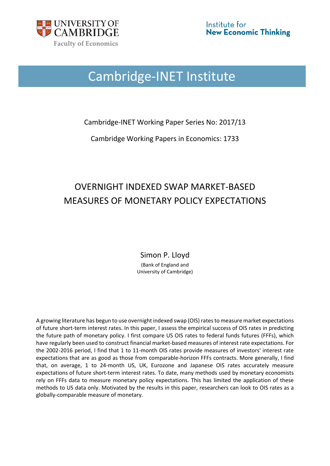

# Cambridge-INET Institute

Cambridge-INET Working Paper Series No: 2017/13

Cambridge Working Papers in Economics: 1733

## OVERNIGHT INDEXED SWAP MARKET-BASED MEASURES OF MONETARY POLICY EXPECTATIONS

Simon P. Lloyd

(Bank of England and University of Cambridge)

A growing literature has begun to use overnight indexed swap (OIS) rates to measure market expectations of future short-term interest rates. In this paper, I assess the empirical success of OIS rates in predicting the future path of monetary policy. I first compare US OIS rates to federal funds futures (FFFs), which have regularly been used to construct financial market-based measures of interest rate expectations. For the 2002-2016 period, I find that 1 to 11-month OIS rates provide measures of investors' interest rate expectations that are as good as those from comparable-horizon FFFs contracts. More generally, I find that, on average, 1 to 24-month US, UK, Eurozone and Japanese OIS rates accurately measure expectations of future short-term interest rates. To date, many methods used by monetary economists rely on FFFs data to measure monetary policy expectations. This has limited the application of these methods to US data only. Motivated by the results in this paper, researchers can look to OIS rates as a globally-comparable measure of monetary.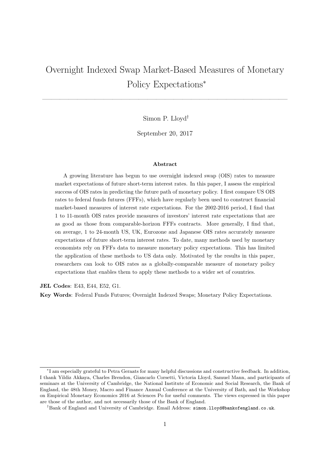## Overnight Indexed Swap Market-Based Measures of Monetary Policy Expectations<sup>∗</sup>

Simon P. Lloyd†

 $\mathcal{L}=\{1,2,3,4\}$  , we can consider the constraint of  $\mathcal{L}=\{1,2,3,4\}$ 

September 20, 2017

#### Abstract

A growing literature has begun to use overnight indexed swap (OIS) rates to measure market expectations of future short-term interest rates. In this paper, I assess the empirical success of OIS rates in predicting the future path of monetary policy. I first compare US OIS rates to federal funds futures (FFFs), which have regularly been used to construct financial market-based measures of interest rate expectations. For the 2002-2016 period, I find that 1 to 11-month OIS rates provide measures of investors' interest rate expectations that are as good as those from comparable-horizon FFFs contracts. More generally, I find that, on average, 1 to 24-month US, UK, Eurozone and Japanese OIS rates accurately measure expectations of future short-term interest rates. To date, many methods used by monetary economists rely on FFFs data to measure monetary policy expectations. This has limited the application of these methods to US data only. Motivated by the results in this paper, researchers can look to OIS rates as a globally-comparable measure of monetary policy expectations that enables them to apply these methods to a wider set of countries.

JEL Codes: E43, E44, E52, G1.

Key Words: Federal Funds Futures; Overnight Indexed Swaps; Monetary Policy Expectations.

<sup>∗</sup> I am especially grateful to Petra Geraats for many helpful discussions and constructive feedback. In addition, I thank Yildiz Akkaya, Charles Brendon, Giancarlo Corsetti, Victoria Lloyd, Samuel Mann, and participants of seminars at the University of Cambridge, the National Institute of Economic and Social Research, the Bank of England, the 48th Money, Macro and Finance Annual Conference at the University of Bath, and the Workshop on Empirical Monetary Economics 2016 at Sciences Po for useful comments. The views expressed in this paper are those of the author, and not necessarily those of the Bank of England.

<sup>†</sup>Bank of England and University of Cambridge. Email Address: simon.lloyd@bankofengland.co.uk.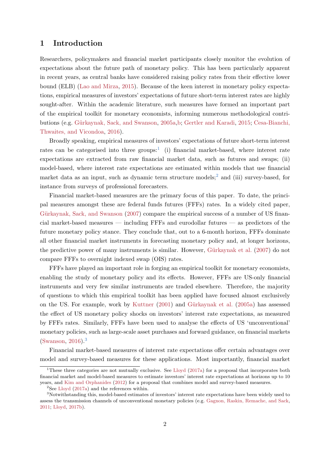## 1 Introduction

Researchers, policymakers and financial market participants closely monitor the evolution of expectations about the future path of monetary policy. This has been particularly apparent in recent years, as central banks have considered raising policy rates from their effective lower bound (ELB) [\(Lao and Mirza,](#page-38-0) [2015\)](#page-38-0). Because of the keen interest in monetary policy expectations, empirical measures of investors' expectations of future short-term interest rates are highly sought-after. Within the academic literature, such measures have formed an important part of the empirical toolkit for monetary economists, informing numerous methodological contri-butions (e.g. Gürkaynak, Sack, and Swanson, [2005a,](#page-37-0)[b;](#page-37-1) [Gertler and Karadi,](#page-37-2) [2015;](#page-37-2) [Cesa-Bianchi,](#page-37-3) [Thwaites, and Vicondoa,](#page-37-3) [2016\)](#page-37-3).

Broadly speaking, empirical measures of investors' expectations of future short-term interest rates can be categorised into three groups:<sup>[1](#page-2-0)</sup> (i) financial market-based, where interest rate expectations are extracted from raw financial market data, such as futures and swaps; (ii) model-based, where interest rate expectations are estimated within models that use financial market data as an input, such as dynamic term structure models;<sup>[2](#page-2-1)</sup> and (iii) survey-based, for instance from surveys of professional forecasters.

Financial market-based measures are the primary focus of this paper. To date, the principal measures amongst these are federal funds futures (FFFs) rates. In a widely cited paper, Gürkaynak, Sack, and Swanson [\(2007\)](#page-37-4) compare the empirical success of a number of US financial market-based measures — including FFFs and eurodollar futures — as predictors of the future monetary policy stance. They conclude that, out to a 6-month horizon, FFFs dominate all other financial market instruments in forecasting monetary policy and, at longer horizons, the predictive power of many instruments is similar. However, Gürkaynak et al. [\(2007\)](#page-37-4) do not compare FFFs to overnight indexed swap (OIS) rates.

FFFs have played an important role in forging an empirical toolkit for monetary economists, enabling the study of monetary policy and its effects. However, FFFs are US-only financial instruments and very few similar instruments are traded elsewhere. Therefore, the majority of questions to which this empirical toolkit has been applied have focused almost exclusively on the US. For example, work by [Kuttner](#page-38-1) [\(2001\)](#page-38-1) and Gürkaynak et al. [\(2005a\)](#page-37-0) has assessed the effect of US monetary policy shocks on investors' interest rate expectations, as measured by FFFs rates. Similarly, FFFs have been used to analyse the effects of US 'unconventional' monetary policies, such as large-scale asset purchases and forward guidance, on financial markets [\(Swanson,](#page-39-0) [2016\)](#page-39-0).[3](#page-2-2)

Financial market-based measures of interest rate expectations offer certain advantages over model and survey-based measures for these applications. Most importantly, financial market

<span id="page-2-0"></span><sup>&</sup>lt;sup>1</sup>These three categories are not mutually exclusive. See [Lloyd](#page-38-2)  $(2017a)$  for a proposal that incorporates both financial market and model-based measures to estimate investors' interest rate expectations at horizons up to 10 years, and [Kim and Orphanides](#page-38-3) [\(2012\)](#page-38-3) for a proposal that combines model and survey-based measures.

<span id="page-2-2"></span><span id="page-2-1"></span><sup>&</sup>lt;sup>2</sup>See [Lloyd](#page-38-2) [\(2017a\)](#page-38-2) and the references within.

<sup>3</sup>Notwithstanding this, model-based estimates of investors' interest rate expectations have been widely used to assess the transmission channels of unconventional monetary policies (e.g. [Gagnon, Raskin, Remache, and Sack,](#page-37-5) [2011;](#page-37-5) [Lloyd,](#page-38-4) [2017b\)](#page-38-4).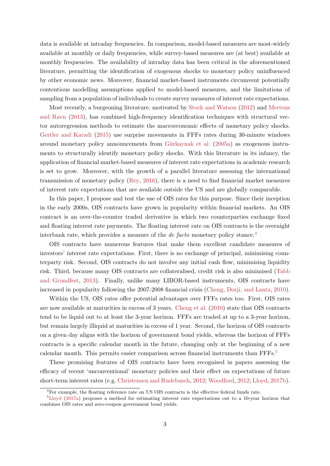data is available at intraday frequencies. In comparison, model-based measures are most-widely available at monthly or daily frequencies, while survey-based measures are (at best) available at monthly frequencies. The availability of intraday data has been critical in the aforementioned literature, permitting the identification of exogenous shocks to monetary policy uninfluenced by other economic news. Moreover, financial market-based instruments circumvent potentially contentious modelling assumptions applied to model-based measures, and the limitations of sampling from a population of individuals to create survey measures of interest rate expectations.

Most recently, a burgeoning literature, motivated by [Stock and Watson](#page-38-5) [\(2012\)](#page-38-5) and [Mertens](#page-38-6) [and Ravn](#page-38-6) [\(2013\)](#page-38-6), has combined high-frequency identification techniques with structural vector autoregression methods to estimate the macroeconomic effects of monetary policy shocks. [Gertler and Karadi](#page-37-2) [\(2015\)](#page-37-2) use surprise movements in FFFs rates during 30-minute windows around monetary policy announcements from Gürkaynak et al.  $(2005a)$  as exogenous instruments to structurally identify monetary policy shocks. With this literature in its infancy, the application of financial market-based measures of interest rate expectations in academic research is set to grow. Moreover, with the growth of a parallel literature assessing the international transmission of monetary policy [\(Rey,](#page-38-7) [2016\)](#page-38-7), there is a need to find financial market measures of interest rate expectations that are available outside the US and are globally comparable.

In this paper, I propose and test the use of OIS rates for this purpose. Since their inception in the early 2000s, OIS contracts have grown in popularity within financial markets. An OIS contract is an over-the-counter traded derivative in which two counterparties exchange fixed and floating interest rate payments. The floating interest rate on OIS contracts is the overnight interbank rate, which provides a measure of the *de facto* monetary policy stance.<sup>[4](#page-3-0)</sup>

OIS contracts have numerous features that make them excellent candidate measures of investors' interest rate expectations. First, there is no exchange of principal, minimising counterparty risk. Second, OIS contracts do not involve any initial cash flow, minimising liquidity risk. Third, because many OIS contracts are collateralised, credit risk is also minimised [\(Tabb](#page-39-1) [and Grundfest,](#page-39-1) [2013\)](#page-39-1). Finally, unlike many LIBOR-based instruments, OIS contracts have increased in popularity following the 2007-2008 financial crisis [\(Cheng, Dorji, and Lantz,](#page-37-6) [2010\)](#page-37-6).

Within the US, OIS rates offer potential advantages over FFFs rates too. First, OIS rates are now available at maturities in excess of 3 years. [Cheng et al.](#page-37-6) [\(2010\)](#page-37-6) state that OIS contracts tend to be liquid out to at least the 3-year horizon. FFFs are traded at up to a 3-year horizon, but remain largely illiquid at maturities in excess of 1 year. Second, the horizon of OIS contracts on a given day aligns with the horizon of government bond yields, whereas the horizon of FFFs contracts is a specific calendar month in the future, changing only at the beginning of a new calendar month. This permits easier comparison across financial instruments than FFFs.<sup>[5](#page-3-1)</sup>

These promising features of OIS contracts have been recognised in papers assessing the efficacy of recent 'unconventional' monetary policies and their effect on expectations of future short-term interest rates (e.g. [Christensen and Rudebusch,](#page-37-7) [2012;](#page-37-7) [Woodford,](#page-39-2) [2012;](#page-39-2) [Lloyd,](#page-38-4) [2017b\)](#page-38-4).

<span id="page-3-1"></span><span id="page-3-0"></span><sup>4</sup>For example, the floating reference rate on US OIS contracts is the effective federal funds rate.

<sup>5</sup>[Lloyd](#page-38-2) [\(2017a\)](#page-38-2) proposes a method for estimating interest rate expectations out to a 10-year horizon that combines OIS rates and zero-coupon government bond yields.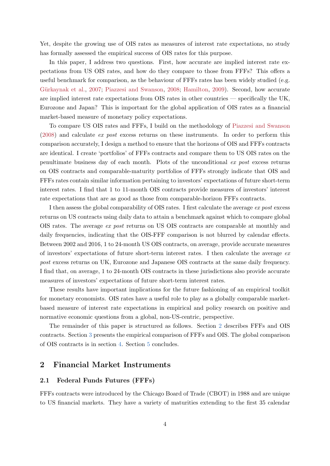Yet, despite the growing use of OIS rates as measures of interest rate expectations, no study has formally assessed the empirical success of OIS rates for this purpose.

In this paper, I address two questions. First, how accurate are implied interest rate expectations from US OIS rates, and how do they compare to those from FFFs? This offers a useful benchmark for comparison, as the behaviour of FFFs rates has been widely studied (e.g. Gürkaynak et al., [2007;](#page-37-4) [Piazzesi and Swanson,](#page-38-8) [2008;](#page-38-8) [Hamilton,](#page-37-8) [2009\)](#page-37-8). Second, how accurate are implied interest rate expectations from OIS rates in other countries — specifically the UK, Eurozone and Japan? This is important for the global application of OIS rates as a financial market-based measure of monetary policy expectations.

To compare US OIS rates and FFFs, I build on the methodology of [Piazzesi and Swanson](#page-38-8) [\(2008\)](#page-38-8) and calculate ex post excess returns on these instruments. In order to perform this comparison accurately, I design a method to ensure that the horizons of OIS and FFFs contracts are identical. I create 'portfolios' of FFFs contracts and compare them to US OIS rates on the penultimate business day of each month. Plots of the unconditional ex post excess returns on OIS contracts and comparable-maturity portfolios of FFFs strongly indicate that OIS and FFFs rates contain similar information pertaining to investors' expectations of future short-term interest rates. I find that 1 to 11-month OIS contracts provide measures of investors' interest rate expectations that are as good as those from comparable-horizon FFFs contracts.

I then assess the global comparability of OIS rates. I first calculate the average ex post excess returns on US contracts using daily data to attain a benchmark against which to compare global OIS rates. The average ex post returns on US OIS contracts are comparable at monthly and daily frequencies, indicating that the OIS-FFF comparison is not blurred by calendar effects. Between 2002 and 2016, 1 to 24-month US OIS contracts, on average, provide accurate measures of investors' expectations of future short-term interest rates. I then calculate the average  $ex$ post excess returns on UK, Eurozone and Japanese OIS contracts at the same daily frequency. I find that, on average, 1 to 24-month OIS contracts in these jurisdictions also provide accurate measures of investors' expectations of future short-term interest rates.

These results have important implications for the future fashioning of an empirical toolkit for monetary economists. OIS rates have a useful role to play as a globally comparable marketbased measure of interest rate expectations in empirical and policy research on positive and normative economic questions from a global, non-US-centric, perspective.

The remainder of this paper is structured as follows. Section [2](#page-4-0) describes FFFs and OIS contracts. Section [3](#page-7-0) presents the empirical comparison of FFFs and OIS. The global comparison of OIS contracts is in section [4.](#page-15-0) Section [5](#page-32-0) concludes.

### <span id="page-4-0"></span>2 Financial Market Instruments

### 2.1 Federal Funds Futures (FFFs)

FFFs contracts were introduced by the Chicago Board of Trade (CBOT) in 1988 and are unique to US financial markets. They have a variety of maturities extending to the first 35 calendar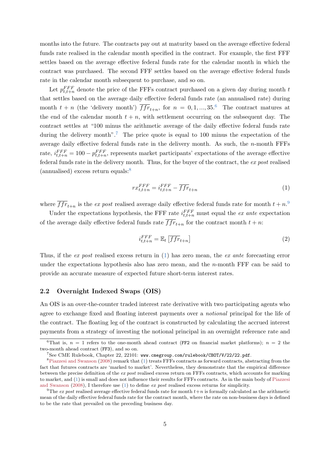months into the future. The contracts pay out at maturity based on the average effective federal funds rate realised in the calendar month specified in the contract. For example, the first FFF settles based on the average effective federal funds rate for the calendar month in which the contract was purchased. The second FFF settles based on the average effective federal funds rate in the calendar month subsequent to purchase, and so on.

Let  $p_{t,t+n}^{FFF}$  denote the price of the FFFs contract purchased on a given day during month t that settles based on the average daily effective federal funds rate (an annualised rate) during month  $t + n$  (the 'delivery month')  $\overline{ffr}_{t+n}$ , for  $n = 0, 1, ..., 35.$ <sup>[6](#page-5-0)</sup> The contract matures at the end of the calendar month  $t + n$ , with settlement occurring on the subsequent day. The contract settles at "100 minus the arithmetic average of the daily effective federal funds rate during the delivery month".<sup>[7](#page-5-1)</sup> The price quote is equal to 100 minus the expectation of the average daily effective federal funds rate in the delivery month. As such, the  $n$ -month FFFs rate,  $i_{t,t+n}^{FFF} = 100 - p_{t,t+n}^{FFF}$ , represents market participants' expectations of the average effective federal funds rate in the delivery month. Thus, for the buyer of the contract, the ex post realised (annualised) excess return equals:[8](#page-5-2)

<span id="page-5-4"></span>
$$
rx_{t,t+n}^{FFF} = i_{t,t+n}^{FFF} - \overline{ffr}_{t+n} \tag{1}
$$

where  $\overline{ffr}_{t+n}$  is the *ex post* realised average daily effective federal funds rate for month  $t + n$ .<sup>[9](#page-5-3)</sup>

Under the expectations hypothesis, the FFF rate  $i_{t,t+n}^{FFF}$  must equal the ex ante expectation of the average daily effective federal funds rate  $ffr_{t+n}$  for the contract month  $t + n$ :

$$
i_{t,t+n}^{FFF} = \mathbb{E}_t \left[ \overline{ffr}_{t+n} \right] \tag{2}
$$

Thus, if the ex post realised excess return in [\(1\)](#page-5-4) has zero mean, the ex ante forecasting error under the expectations hypothesis also has zero mean, and the  $n$ -month FFF can be said to provide an accurate measure of expected future short-term interest rates.

#### 2.2 Overnight Indexed Swaps (OIS)

An OIS is an over-the-counter traded interest rate derivative with two participating agents who agree to exchange fixed and floating interest payments over a notional principal for the life of the contract. The floating leg of the contract is constructed by calculating the accrued interest payments from a strategy of investing the notional principal in an overnight reference rate and

<span id="page-5-0"></span><sup>&</sup>lt;sup>6</sup>That is,  $n = 1$  refers to the one-month ahead contract (FF2 on financial market platforms);  $n = 2$  the two-month ahead contract (FF3), and so on.

<span id="page-5-2"></span><span id="page-5-1"></span> $^{7}$ See CME Rulebook, Chapter 22, 22101: <www.cmegroup.com/rulebook/CBOT/V/22/22.pdf>.

<sup>&</sup>lt;sup>8</sup>[Piazzesi and Swanson](#page-38-8) [\(2008\)](#page-38-8) remark that [\(1\)](#page-5-4) treats FFFs contracts as forward contracts, abstracting from the fact that futures contracts are 'marked to market'. Nevertheless, they demonstrate that the empirical difference between the precise definition of the ex post realised excess return on FFFs contracts, which accounts for marking to market, and [\(1\)](#page-5-4) is small and does not influence their results for FFFs contracts. As in the main body of [Piazzesi](#page-38-8) [and Swanson](#page-38-8) [\(2008\)](#page-38-8), I therefore use [\(1\)](#page-5-4) to define ex post realised excess returns for simplicity.

<span id="page-5-3"></span><sup>&</sup>lt;sup>9</sup>The *ex post* realised average effective federal funds rate for month  $t+n$  is formally calculated as the arithmetic mean of the daily effective federal funds rate for the contract month, where the rate on non-business days is defined to be the rate that prevailed on the preceding business day.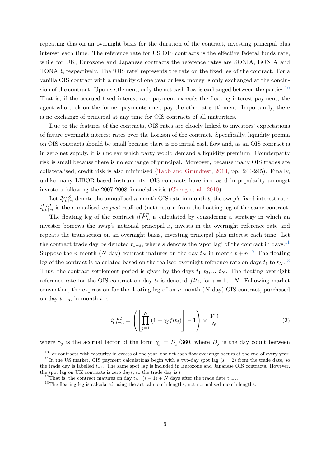repeating this on an overnight basis for the duration of the contract, investing principal plus interest each time. The reference rate for US OIS contracts is the effective federal funds rate, while for UK, Eurozone and Japanese contracts the reference rates are SONIA, EONIA and TONAR, respectively. The 'OIS rate' represents the rate on the fixed leg of the contract. For a vanilla OIS contract with a maturity of one year or less, money is only exchanged at the conclu-sion of the contract. Upon settlement, only the net cash flow is exchanged between the parties.<sup>[10](#page-6-0)</sup> That is, if the accrued fixed interest rate payment exceeds the floating interest payment, the agent who took on the former payments must pay the other at settlement. Importantly, there is no exchange of principal at any time for OIS contracts of all maturities.

Due to the features of the contracts, OIS rates are closely linked to investors' expectations of future overnight interest rates over the horizon of the contract. Specifically, liquidity premia on OIS contracts should be small because there is no initial cash flow and, as an OIS contract is in zero net supply, it is unclear which party would demand a liquidity premium. Counterparty risk is small because there is no exchange of principal. Moreover, because many OIS trades are collateralised, credit risk is also minimised [\(Tabb and Grundfest,](#page-39-1) [2013,](#page-39-1) pp. 244-245). Finally, unlike many LIBOR-based instruments, OIS contracts have increased in popularity amongst investors following the 2007-2008 financial crisis [\(Cheng et al.,](#page-37-6) [2010\)](#page-37-6).

Let  $i_{t,t+n}^{OIS}$  denote the annualised n-month OIS rate in month t, the swap's fixed interest rate.  $i_{t,t+n}^{FLT}$  is the annualised *ex post* realised (net) return from the floating leg of the same contract.

The floating leg of the contract  $i_{t,t+n}^{FLT}$  is calculated by considering a strategy in which an investor borrows the swap's notional principal  $x$ , invests in the overnight reference rate and repeats the transaction on an overnight basis, investing principal plus interest each time. Let the contract trade day be denoted  $t_{1-s}$ , where s denotes the 'spot lag' of the contract in days.<sup>[11](#page-6-1)</sup> Suppose the *n*-month (*N*-day) contract matures on the day  $t_N$  in month  $t + n^{12}$  $t + n^{12}$  $t + n^{12}$  The floating leg of the contract is calculated based on the realised overnight reference rate on days  $t_1$  to  $t_N$ .<sup>[13](#page-6-3)</sup> Thus, the contract settlement period is given by the days  $t_1, t_2, ..., t_N$ . The floating overnight reference rate for the OIS contract on day  $t_i$  is denoted  $flt_i$ , for  $i = 1,...N$ . Following market convention, the expression for the floating leg of an  $n$ -month (N-day) OIS contract, purchased on day  $t_{1-s}$ , in month t is:

<span id="page-6-4"></span>
$$
i_{t,t+n}^{FLT} = \left( \left[ \prod_{j=1}^{N} \left( 1 + \gamma_j f l t_j \right) \right] - 1 \right) \times \frac{360}{N} \tag{3}
$$

where  $\gamma_i$  is the accrual factor of the form  $\gamma_i = D_i/360$ , where  $D_i$  is the day count between

<span id="page-6-0"></span> $10$ For contracts with maturity in excess of one year, the net cash flow exchange occurs at the end of every year.

<span id="page-6-1"></span><sup>&</sup>lt;sup>11</sup>In the US market, OIS payment calculations begin with a two-day spot lag  $(s = 2)$  from the trade date, so the trade day is labelled t<sup>−</sup>1. The same spot lag is included in Eurozone and Japanese OIS contracts. However, the spot lag on UK contracts is zero days, so the trade day is  $t_1$ .

<span id="page-6-2"></span><sup>&</sup>lt;sup>12</sup>That is, the contract matures on day  $t_N$ ,  $(s-1) + N$  days after the trade date  $t_{1-s}$ .

<span id="page-6-3"></span> $13$ The floating leg is calculated using the actual month lengths, not normalised month lengths.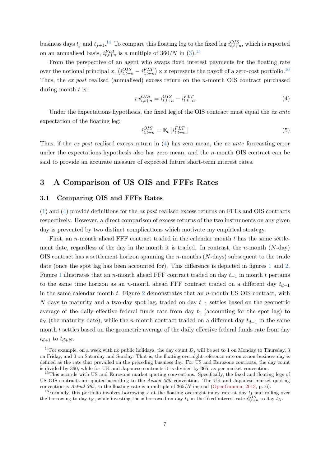business days  $t_j$  and  $t_{j+1}$ .<sup>[14](#page-7-1)</sup> To compare this floating leg to the fixed leg  $i_{t,t+n}^{OIS}$ , which is reported on an annualised basis,  $i_{t,t+n}^{FLT}$  is a multiple of 360/N in [\(3\)](#page-6-4).<sup>[15](#page-7-2)</sup>

From the perspective of an agent who swaps fixed interest payments for the floating rate over the notional principal x,  $(i_{t,t+n}^{OIS} - i_{t,t+n}^{FLT}) \times x$  represents the payoff of a zero-cost portfolio.<sup>[16](#page-7-3)</sup> Thus, the ex post realised (annualised) excess return on the n-month OIS contract purchased during month  $t$  is:

<span id="page-7-4"></span>
$$
rx_{t,t+n}^{OIS} = i_{t,t+n}^{OIS} - i_{t,t+n}^{FLT}
$$
\n
$$
\tag{4}
$$

Under the expectations hypothesis, the fixed leg of the OIS contract must equal the ex ante expectation of the floating leg:

$$
i_{t,t+n}^{OIS} = \mathbb{E}_t \left[ i_{t,t+n}^{FLT} \right] \tag{5}
$$

Thus, if the ex post realised excess return in [\(4\)](#page-7-4) has zero mean, the ex ante forecasting error under the expectations hypothesis also has zero mean, and the  $n$ -month OIS contract can be said to provide an accurate measure of expected future short-term interest rates.

## <span id="page-7-0"></span>3 A Comparison of US OIS and FFFs Rates

#### 3.1 Comparing OIS and FFFs Rates

[\(1\)](#page-5-4) and [\(4\)](#page-7-4) provide definitions for the ex post realised excess returns on FFFs and OIS contracts respectively. However, a direct comparison of excess returns of the two instruments on any given day is prevented by two distinct complications which motivate my empirical strategy.

First, an *n*-month ahead FFF contract traded in the calendar month  $t$  has the same settlement date, regardless of the day in the month it is traded. In contrast, the n-month  $(N-\text{day})$ OIS contract has a settlement horizon spanning the  $n$ -months ( $N$ -days) subsequent to the trade date (once the spot lag has been accounted for). This difference is depicted in figures [1](#page-8-0) and [2.](#page-8-1) Figure [1](#page-8-0) illustrates that an n-month ahead FFF contract traded on day  $t_{-1}$  in month t pertains to the same time horizon as an n-month ahead FFF contract traded on a different day  $t_{d-1}$ in the same calendar month  $t$ . Figure [2](#page-8-1) demonstrates that an  $n$ -month US OIS contract, with N days to maturity and a two-day spot lag, traded on day  $t_{-1}$  settles based on the geometric average of the daily effective federal funds rate from day  $t_1$  (accounting for the spot lag) to  $t_N$  (the maturity date), while the n-month contract traded on a different day  $t_{d-1}$  in the same month  $t$  settles based on the geometric average of the daily effective federal funds rate from day

 $t_{d+1}$  to  $t_{d+N}$ .

<span id="page-7-1"></span><sup>&</sup>lt;sup>14</sup>For example, on a week with no public holidays, the day count  $D_j$  will be set to 1 on Monday to Thursday, 3 on Friday, and 0 on Saturday and Sunday. That is, the floating overnight reference rate on a non-business day is defined as the rate that prevailed on the preceding business day. For US and Eurozone contracts, the day count is divided by 360, while for UK and Japanese contracts it is divided by 365, as per market convention.

<span id="page-7-2"></span><sup>&</sup>lt;sup>15</sup>This accords with US and Eurozone market quoting conventions. Specifically, the fixed and floating legs of US OIS contracts are quoted according to the Actual 360 convention. The UK and Japanese market quoting convention is Actual 365, so the floating rate is a multiple of  $365/N$  instead [\(OpenGamma,](#page-38-9) [2013,](#page-38-9) p. 6).

<span id="page-7-3"></span><sup>&</sup>lt;sup>16</sup>Formally, this portfolio involves borrowing x at the floating overnight index rate at day  $t_1$  and rolling over the borrowing to day  $t_N$ , while investing the x borrowed on day  $t_1$  in the fixed interest rate  $i_{t,t+n}^{OIS}$  to day  $t_N$ .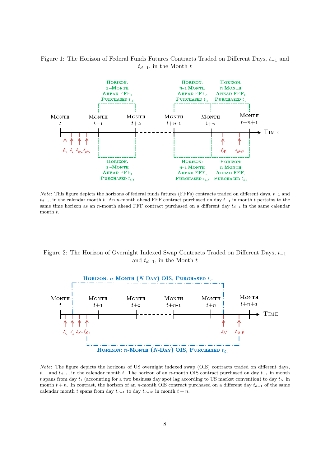## <span id="page-8-0"></span>Figure 1: The Horizon of Federal Funds Futures Contracts Traded on Different Days,  $t_{-1}$  and  $t_{d-1}$ , in the Month  $t$



*Note*: This figure depicts the horizons of federal funds futures (FFFs) contracts traded on different days,  $t_{-1}$  and  $t_{d-1}$ , in the calendar month t. An n-month ahead FFF contract purchased on day  $t_{-1}$  in month t pertains to the same time horizon as an n-month ahead FFF contract purchased on a different day  $t_{d-1}$  in the same calendar month t.

<span id="page-8-1"></span>Figure 2: The Horizon of Overnight Indexed Swap Contracts Traded on Different Days,  $t_{-1}$ and  $t_{d-1}$ , in the Month t



Note: The figure depicts the horizons of US overnight indexed swap (OIS) contracts traded on different days,  $t_{-1}$  and  $t_{d-1}$ , in the calendar month t. The horizon of an n-month OIS contract purchased on day  $t_{-1}$  in month t spans from day  $t_1$  (accounting for a two business day spot lag according to US market convention) to day  $t_N$  in month  $t + n$ . In contrast, the horizon of an n-month OIS contract purchased on a different day  $t_{d-1}$  of the same calendar month t spans from day  $t_{d+1}$  to day  $t_{d+N}$  in month  $t+n$ .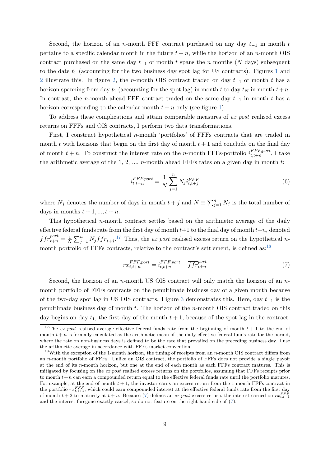Second, the horizon of an n-month FFF contract purchased on any day  $t_{-1}$  in month t pertains to a specific calendar month in the future  $t + n$ , while the horizon of an n-month OIS contract purchased on the same day  $t_{-1}$  of month t spans the n months (N days) subsequent to the date  $t_1$  $t_1$  (accounting for the two business day spot lag for US contracts). Figures 1 and [2](#page-8-1) illustrate this. In figure [2,](#page-8-1) the n-month OIS contract traded on day  $t_{-1}$  of month t has a horizon spanning from day  $t_1$  (accounting for the spot lag) in month t to day  $t_N$  in month  $t+n$ . In contrast, the n-month ahead FFF contract traded on the same day  $t_{-1}$  in month t has a horizon corresponding to the calendar month  $t + n$  only (see figure [1\)](#page-8-0).

To address these complications and attain comparable measures of ex post realised excess returns on FFFs and OIS contracts, I perform two data transformations.

First, I construct hypothetical n-month 'portfolios' of FFFs contracts that are traded in month t with horizons that begin on the first day of month  $t + 1$  and conclude on the final day of month  $t + n$ . To construct the interest rate on the *n*-month FFFs-portfolio  $i_{t,t+n}^{FFF, port}$  $\frac{f f f f, port}{f, t+n}$ , I take the arithmetic average of the 1, 2, ..., n-month ahead FFFs rates on a given day in month  $t$ :

<span id="page-9-3"></span>
$$
i_{t,t+n}^{FFF,port} = \frac{1}{N} \sum_{j=1}^{n} N_j i_{t,t+j}^{FFF} \tag{6}
$$

where  $N_j$  denotes the number of days in month  $t + j$  and  $N \equiv \sum_{j=1}^n N_j$  is the total number of days in months  $t + 1, ..., t + n$ .

This hypothetical n-month contract settles based on the arithmetic average of the daily effective federal funds rate from the first day of month  $t+1$  to the final day of month  $t+n$ , denoted  $\overline{ffr}_{t+n}^{port} = \frac{1}{N}$  $\frac{1}{N}\sum_{j=1}^n N_j \overline{ffr}_{t+j}$ <sup>[17](#page-9-0)</sup> Thus, the ex post realised excess return on the hypothetical n-month portfolio of FFFs contracts, relative to the contract's settlement, is defined as:<sup>[18](#page-9-1)</sup>

<span id="page-9-2"></span>
$$
rx_{t,t+n}^{FFF,port} = i_{t,t+n}^{FFF,port} - \overline{ffr}_{t+n}^{port}
$$
\n
$$
(7)
$$

Second, the horizon of an *n*-month US OIS contract will only match the horizon of an  $n$ month portfolio of FFFs contracts on the penultimate business day of a given month because of the two-day spot lag in US OIS contracts. Figure [3](#page-10-0) demonstrates this. Here, day  $t_{-1}$  is the penultimate business day of month  $t$ . The horizon of the *n*-month OIS contract traded on this day begins on day  $t_1$ , the first day of the month  $t + 1$ , because of the spot lag in the contract.

<span id="page-9-0"></span><sup>&</sup>lt;sup>17</sup>The *ex post* realised average effective federal funds rate from the beginning of month  $t + 1$  to the end of month  $t + n$  is formally calculated as the arithmetic mean of the daily effective federal funds rate for the period, where the rate on non-business days is defined to be the rate that prevailed on the preceding business day. I use the arithmetic average in accordance with FFFs market convention.

<span id="page-9-1"></span> $18$ With the exception of the 1-month horizon, the timing of receipts from an n-month OIS contract differs from an n-month portfolio of FFFs. Unlike an OIS contract, the portfolio of FFFs does not provide a single payoff at the end of its n-month horizon, but one at the end of each month as each FFFs contract matures. This is mitigated by focusing on the ex post realised excess returns on the portfolios, assuming that FFFs receipts prior to month  $t+n$  can earn a compounded return equal to the effective federal funds rate until the portfolio matures. For example, at the end of month  $t + 1$ , the investor earns an excess return from the 1-month FFFs contract in the portfolio  $rx_{t,t+1}^{FFF}$ , which could earn compounded interest at the effective federal funds rate from the first day of month  $t + 2$  to maturity at  $t + n$ . Because [\(7\)](#page-9-2) defines an ex post excess return, the interest earned on  $rx_{t,t+1}^{FFF}$ and the interest foregone exactly cancel, so do not feature on the right-hand side of [\(7\)](#page-9-2).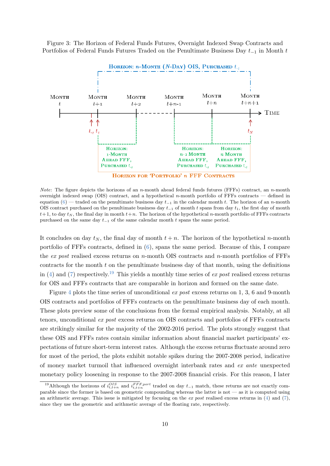<span id="page-10-0"></span>Figure 3: The Horizon of Federal Funds Futures, Overnight Indexed Swap Contracts and Portfolios of Federal Funds Futures Traded on the Penultimate Business Day  $t_{-1}$  in Month  $t$ 



**HORIZON FOR 'PORTFOLIO' n FFF CONTRACTS** 

*Note*: The figure depicts the horizons of an n-month ahead federal funds futures (FFFs) contract, an n-month overnight indexed swap (OIS) contract, and a hypothetical n-month portfolio of FFFs contracts — defined in equation [\(6\)](#page-9-3) — traded on the penultimate business day  $t_{-1}$  in the calendar month t. The horizon of an n-month OIS contract purchased on the penultimate business day  $t_{-1}$  of month t spans from day  $t_1$ , the first day of month  $t+1$ , to day  $t_N$ , the final day in month  $t+n$ . The horizon of the hypothetical n-month portfolio of FFFs contracts purchased on the same day  $t_{-1}$  of the same calendar month t spans the same period.

It concludes on day  $t_N$ , the final day of month  $t + n$ . The horizon of the hypothetical n-month portfolio of FFFs contracts, defined in [\(6\)](#page-9-3), spans the same period. Because of this, I compare the ex post realised excess returns on n-month OIS contracts and n-month portfolios of FFFs contracts for the month  $t$  on the penultimate business day of that month, using the definitions in [\(4\)](#page-7-4) and [\(7\)](#page-9-2) respectively.<sup>[19](#page-10-1)</sup> This yields a monthly time series of ex post realised excess returns for OIS and FFFs contracts that are comparable in horizon and formed on the same date.

Figure [4](#page-11-0) plots the time series of unconditional ex post excess returns on 1, 3, 6 and 9-month OIS contracts and portfolios of FFFs contracts on the penultimate business day of each month. These plots preview some of the conclusions from the formal empirical analysis. Notably, at all tenors, unconditional ex post excess returns on OIS contracts and portfolios of FFFs contracts are strikingly similar for the majority of the 2002-2016 period. The plots strongly suggest that these OIS and FFFs rates contain similar information about financial market participants' expectations of future short-term interest rates. Although the excess returns fluctuate around zero for most of the period, the plots exhibit notable spikes during the 2007-2008 period, indicative of money market turmoil that influenced overnight interbank rates and ex ante unexpected monetary policy loosening in response to the 2007-2008 financial crisis. For this reason, I later

<span id="page-10-1"></span><sup>&</sup>lt;sup>19</sup>Although the horizons of  $i_{t,t+n}^{OIS}$  and  $i_{t,t+n}^{FFF,port}$  traded on day  $t_{-1}$  match, these returns are not exactly comparable since the former is based on geometric compounding whereas the latter is not — as it is computed using an arithmetic average. This issue is mitigated by focusing on the ex post realised excess returns in [\(4\)](#page-7-4) and [\(7\)](#page-9-2), since they use the geometric and arithmetic average of the floating rate, respectively.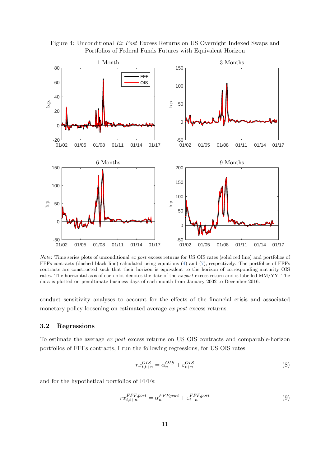<span id="page-11-0"></span>Figure 4: Unconditional Ex Post Excess Returns on US Overnight Indexed Swaps and Portfolios of Federal Funds Futures with Equivalent Horizon



Note: Time series plots of unconditional ex post excess returns for US OIS rates (solid red line) and portfolios of FFFs contracts (dashed black line) calculated using equations [\(4\)](#page-7-4) and [\(7\)](#page-9-2), respectively. The portfolios of FFFs contracts are constructed such that their horizon is equivalent to the horizon of corresponding-maturity OIS rates. The horizontal axis of each plot denotes the date of the ex post excess return and is labelled MM/YY. The data is plotted on penultimate business days of each month from January 2002 to December 2016.

conduct sensitivity analyses to account for the effects of the financial crisis and associated monetary policy loosening on estimated average ex post excess returns.

#### 3.2 Regressions

To estimate the average ex post excess returns on US OIS contracts and comparable-horizon portfolios of FFFs contracts, I run the following regressions, for US OIS rates:

<span id="page-11-1"></span>
$$
rx_{t,t+n}^{OIS} = \alpha_n^{OIS} + \varepsilon_{t+n}^{OIS}
$$
\n
$$
\tag{8}
$$

and for the hypothetical portfolios of FFFs:

<span id="page-11-2"></span>
$$
rx_{t,t+n}^{FFF,port} = \alpha_n^{FFF,port} + \varepsilon_{t+n}^{FFF,port}
$$
\n(9)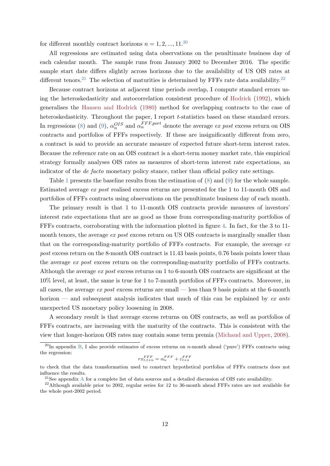for different monthly contract horizons  $n = 1, 2, ..., 11$ .<sup>[20](#page-12-0)</sup>

All regressions are estimated using data observations on the penultimate business day of each calendar month. The sample runs from January 2002 to December 2016. The specific sample start date differs slightly across horizons due to the availability of US OIS rates at different tenors.<sup>[21](#page-12-1)</sup> The selection of maturities is determined by FFFs rate data availability.<sup>[22](#page-12-2)</sup>

Because contract horizons at adjacent time periods overlap, I compute standard errors using the heteroskedasticity and autocorrelation consistent procedure of [Hodrick](#page-37-9) [\(1992\)](#page-37-9), which generalises the [Hansen and Hodrick](#page-37-10) [\(1980\)](#page-37-10) method for overlapping contracts to the case of heteroskedasticity. Throughout the paper, I report *t*-statistics based on these standard errors. In regressions [\(8\)](#page-11-1) and [\(9\)](#page-11-2),  $\alpha_n^{OIS}$  and  $\alpha_n^{FFF,port}$  denote the average ex post excess return on OIS contracts and portfolios of FFFs respectively. If these are insignificantly different from zero, a contract is said to provide an accurate measure of expected future short-term interest rates. Because the reference rate on an OIS contract is a short-term money market rate, this empirical strategy formally analyses OIS rates as measures of short-term interest rate expectations, an indicator of the *de facto* monetary policy stance, rather than official policy rate settings.

Table [1](#page-13-0) presents the baseline results from the estimation of [\(8\)](#page-11-1) and [\(9\)](#page-11-2) for the whole sample. Estimated average ex post realised excess returns are presented for the 1 to 11-month OIS and portfolios of FFFs contracts using observations on the penultimate business day of each month.

The primary result is that 1 to 11-month OIS contracts provide measures of investors' interest rate expectations that are as good as those from corresponding-maturity portfolios of FFFs contracts, corroborating with the information plotted in figure [4.](#page-11-0) In fact, for the 3 to 11 month tenors, the average ex post excess return on US OIS contracts is marginally smaller than that on the corresponding-maturity portfolio of FFFs contracts. For example, the average  $ex$ post excess return on the 8-month OIS contract is 11.43 basis points, 0.76 basis points lower than the average ex post excess return on the corresponding-maturity portfolio of FFFs contracts. Although the average ex post excess returns on 1 to 6-month OIS contracts are significant at the 10% level, at least, the same is true for 1 to 7-month portfolios of FFFs contracts. Moreover, in all cases, the average  $ex$  post excess returns are small — less than 9 basis points at the 6-month horizon — and subsequent analysis indicates that much of this can be explained by  $ex$  ante unexpected US monetary policy loosening in 2008.

A secondary result is that average excess returns on OIS contracts, as well as portfolios of FFFs contracts, are increasing with the maturity of the contracts. This is consistent with the view that longer-horizon OIS rates may contain some term premia [\(Michaud and Upper,](#page-38-10) [2008\)](#page-38-10).

$$
rx_{t,t+n}^{FFF} = \alpha_n^{FFF} + \varepsilon_{t+n}^{FFF}
$$

<span id="page-12-0"></span><sup>&</sup>lt;sup>20</sup>In appendix [B,](#page-35-0) I also provide estimates of excess returns on *n*-month ahead ('pure') FFFs contracts using the regression:

to check that the data transformation used to construct hypothetical portfolios of FFFs contracts does not influence the results.

<span id="page-12-2"></span><span id="page-12-1"></span><sup>&</sup>lt;sup>21</sup>See appendix [A](#page-34-0) for a complete list of data sources and a detailed discussion of OIS rate availability.

 $^{22}$ Although available prior to 2002, regular series for 12 to 36-month ahead FFFs rates are not available for the whole post-2002 period.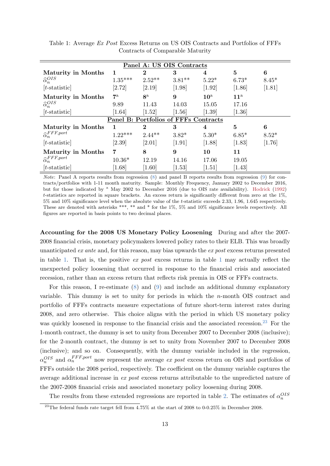| Panel A: US OIS Contracts       |             |                |                                       |                     |              |          |  |  |  |
|---------------------------------|-------------|----------------|---------------------------------------|---------------------|--------------|----------|--|--|--|
| Maturity in Months              | 1           | $\bf{2}$       | 3                                     | 4                   | 5            | 6        |  |  |  |
| $\widehat{\alpha}_n^{OIS}$      | $1.35***$   | $2.52**$       | $3.81**$                              | $5.22*$             | $6.73*$      | $8.45*$  |  |  |  |
| $[t\text{-statistic}]$          | [2.72]      | [2.19]         | [1.98]                                | $[1.92]$            | [1.86]       | $[1.81]$ |  |  |  |
| <b>Maturity in Months</b>       | $7^{\rm a}$ | 8 <sup>a</sup> | 9                                     | $10^{\rm a}$        | $11^{\rm a}$ |          |  |  |  |
| $\widehat{\alpha}_n^{OIS}$      | 9.89        | 11.43          | 14.03                                 | 15.05               | 17.16        |          |  |  |  |
| $[t\text{-statistic}]$          | [1.64]      | [1.52]         | [1.56]                                | [1.39]              | [1.36]       |          |  |  |  |
|                                 |             |                | Panel B: Portfolios of FFFs Contracts |                     |              |          |  |  |  |
| <b>Maturity in Months</b>       | 1           | $\bf{2}$       | 3                                     | 4                   | 5            | 6        |  |  |  |
| $\widehat{\alpha}_n^{FFF,port}$ | $1.22***$   | $2.44**$       | $3.82*$                               | $5.30*$             | $6.85*$      | $8.52*$  |  |  |  |
| $[t\text{-statistic}]$          | [2.39]      | [2.01]         | $[1.91]$                              | [1.88]              | [1.83]       | $[1.76]$ |  |  |  |
| <b>Maturity in Months</b>       | 7           | 8              | 9                                     | 10                  | 11           |          |  |  |  |
| $\widehat{\alpha}_n^{FFF,port}$ | $10.36*$    | 12.19          | 14.16                                 | 17.06               | 19.05        |          |  |  |  |
| $[t\text{-statistic}]$          | [1.68]      | [1.60]         | $[1.53]$                              | $\left[1.51\right]$ | $[1.43]$     |          |  |  |  |

<span id="page-13-0"></span>Table 1: Average Ex Post Excess Returns on US OIS Contracts and Portfolios of FFFs Contracts of Comparable Maturity

*Note:* Panel A reports results from regression  $(8)$  and panel B reports results from regression  $(9)$  for contracts/portfolios with 1-11 month maturity. Sample: Monthly Frequency, January 2002 to December 2016, but for those indicated by <sup>a</sup> May 2002 to December 2016 (due to OIS rate availability). [Hodrick](#page-37-9) [\(1992\)](#page-37-9) t-statistics are reported in square brackets. An excess return is significantly different from zero at the 1%, 5% and 10% significance level when the absolute value of the t-statistic exceeds 2.33, 1.96, 1.645 respectively. These are denoted with asterisks \*\*\*, \*\* and \* for the 1%, 5% and 10% significance levels respectively. All figures are reported in basis points to two decimal places.

Accounting for the 2008 US Monetary Policy Loosening During and after the 2007- 2008 financial crisis, monetary policymakers lowered policy rates to their ELB. This was broadly unanticipated ex ante and, for this reason, may bias upwards the ex post excess returns presented in table [1.](#page-13-0) That is, the positive  $ex$  post excess returns in table [1](#page-13-0) may actually reflect the unexpected policy loosening that occurred in response to the financial crisis and associated recession, rather than an excess return that reflects risk premia in OIS or FFFs contracts.

For this reason, I re-estimate [\(8\)](#page-11-1) and [\(9\)](#page-11-2) and include an additional dummy explanatory variable. This dummy is set to unity for periods in which the  $n$ -month OIS contract and portfolio of FFFs contracts measure expectations of future short-term interest rates during 2008, and zero otherwise. This choice aligns with the period in which US monetary policy was quickly loosened in response to the financial crisis and the associated recession.<sup>[23](#page-13-1)</sup> For the 1-month contract, the dummy is set to unity from December 2007 to December 2008 (inclusive); for the 2-month contract, the dummy is set to unity from November 2007 to December 2008 (inclusive); and so on. Consequently, with the dummy variable included in the regression,  $\alpha_n^{OIS}$  and  $\alpha_n^{FFF,port}$  now represent the average ex post excess return on OIS and portfolios of FFFs outside the 2008 period, respectively. The coefficient on the dummy variable captures the average additional increase in ex post excess returns attributable to the unpredicted nature of the 2007-2008 financial crisis and associated monetary policy loosening during 2008.

The results from these extended regressions are reported in table [2.](#page-15-1) The estimates of  $\alpha_n^{OIS}$ 

<span id="page-13-1"></span> $^{23}$ The federal funds rate target fell from 4.75% at the start of 2008 to 0-0.25% in December 2008.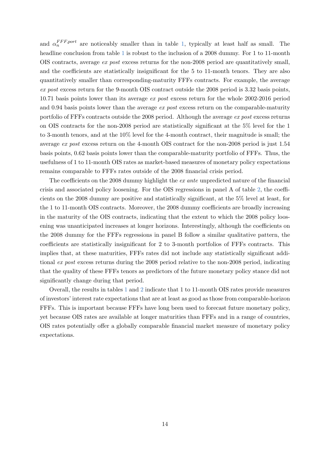and  $\alpha_n^{FFF,port}$  are noticeably smaller than in table [1,](#page-13-0) typically at least half as small. The headline conclusion from table [1](#page-13-0) is robust to the inclusion of a 2008 dummy. For 1 to 11-month OIS contracts, average ex post excess returns for the non-2008 period are quantitatively small, and the coefficients are statistically insignificant for the 5 to 11-month tenors. They are also quantitatively smaller than corresponding-maturity FFFs contracts. For example, the average ex post excess return for the 9-month OIS contract outside the 2008 period is 3.32 basis points, 10.71 basis points lower than its average ex post excess return for the whole 2002-2016 period and 0.94 basis points lower than the average  $ex$  post excess return on the comparable-maturity portfolio of FFFs contracts outside the 2008 period. Although the average ex post excess returns on OIS contracts for the non-2008 period are statistically significant at the 5% level for the 1 to 3-month tenors, and at the 10% level for the 4-month contract, their magnitude is small; the average ex post excess return on the 4-month OIS contract for the non-2008 period is just 1.54 basis points, 0.62 basis points lower than the comparable-maturity portfolio of FFFs. Thus, the usefulness of 1 to 11-month OIS rates as market-based measures of monetary policy expectations remains comparable to FFFs rates outside of the 2008 financial crisis period.

The coefficients on the 2008 dummy highlight the ex ante unpredicted nature of the financial crisis and associated policy loosening. For the OIS regressions in panel A of table [2,](#page-15-1) the coefficients on the 2008 dummy are positive and statistically significant, at the 5% level at least, for the 1 to 11-month OIS contracts. Moreover, the 2008 dummy coefficients are broadly increasing in the maturity of the OIS contracts, indicating that the extent to which the 2008 policy loosening was unanticipated increases at longer horizons. Interestingly, although the coefficients on the 2008 dummy for the FFFs regressions in panel B follow a similar qualitative pattern, the coefficients are statistically insignificant for 2 to 3-month portfolios of FFFs contracts. This implies that, at these maturities, FFFs rates did not include any statistically significant additional ex post excess returns during the 2008 period relative to the non-2008 period, indicating that the quality of these FFFs tenors as predictors of the future monetary policy stance did not significantly change during that period.

Overall, the results in tables [1](#page-13-0) and [2](#page-15-1) indicate that 1 to 11-month OIS rates provide measures of investors' interest rate expectations that are at least as good as those from comparable-horizon FFFs. This is important because FFFs have long been used to forecast future monetary policy, yet because OIS rates are available at longer maturities than FFFs and in a range of countries, OIS rates potentially offer a globally comparable financial market measure of monetary policy expectations.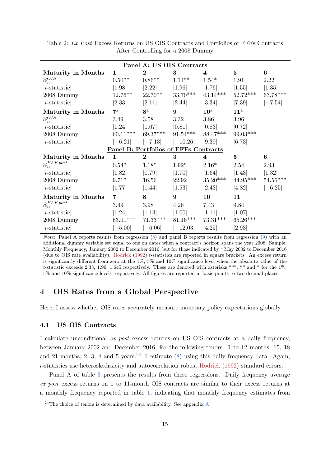| Panel A: US OIS Contracts       |                |                                       |            |              |                |                 |  |  |  |
|---------------------------------|----------------|---------------------------------------|------------|--------------|----------------|-----------------|--|--|--|
| <b>Maturity in Months</b>       | $\mathbf{1}$   | $\overline{2}$                        | 3          | 4            | $\overline{5}$ | 6               |  |  |  |
| $\widehat{\alpha}_n^{OIS}$      | $0.50**$       | $0.86**$                              | $1.14**$   | $1.54*$      | 1.91           | 2.22            |  |  |  |
| $[t\text{-statistic}]$          | [1.98]         | [2.22]                                | $[1.96]$   | [1.76]       | [1.55]         | [1.35]          |  |  |  |
| 2008 Dummy                      | $12.76**$      | 22.70**                               | $33.70***$ | $43.14***$   | $52.72***$     | 63.78***        |  |  |  |
| $[t\text{-statistic}]$          | $[2.33]$       | [2.11]                                | [2.44]     | $[3.34]$     | [7.39]         | $[-7.54]$       |  |  |  |
| <b>Maturity in Months</b>       | $7^{\rm a}$    | $8^{\rm a}$                           | 9          | $10^{\rm a}$ | $11^{\rm a}$   |                 |  |  |  |
| $\widehat{\alpha}_n^{OIS}$      | 3.49           | 3.58                                  | 3.32       | 3.86         | 3.96           |                 |  |  |  |
| $[t\text{-statistic}]$          | $[1.24]$       | [1.07]                                | [0.81]     | [0.83]       | [0.72]         |                 |  |  |  |
| 2008 Dummy                      | $60.11***$     | $69.37***$                            | $91.54***$ | 88.47***     | $99.03***$     |                 |  |  |  |
| $[t\text{-statistic}]$          | $[-6.21]$      | $[-7.13]$                             | $[-10.26]$ | [9.39]       | [6.73]         |                 |  |  |  |
|                                 |                | Panel B: Portfolios of FFFs Contracts |            |              |                |                 |  |  |  |
| <b>Maturity in Months</b>       | $\mathbf{1}$   | $\bf{2}$                              | 3          | 4            | $\overline{5}$ | $6\phantom{1}6$ |  |  |  |
| $\widehat{\alpha}_n^{FFF,port}$ | $0.54*$        | $1.18*$                               | $1.92*$    | $2.16*$      | 2.54           | 2.93            |  |  |  |
| $[t\text{-statistic}]$          | [1.82]         | [1.79]                                | [1.70]     | $[1.64]$     | $[1.43]$       | $[1.32]$        |  |  |  |
| 2008 Dummy                      | $9.71*$        | 16.56                                 | 22.92      | $35.20***$   | $44.95***$     | $54.56***$      |  |  |  |
| $[t\text{-statistic}]$          | [1.77]         | [1.44]                                | [1.53]     | [2.43]       | [4.82]         | $[-6.25]$       |  |  |  |
| <b>Maturity in Months</b>       | $\overline{7}$ | 8                                     | 9          | 10           | 11             |                 |  |  |  |
| $\widehat{\alpha}_n^{FFF,port}$ | 3.49           | $3.98\,$                              | 4.26       | 7.43         | 9.84           |                 |  |  |  |
| $[t\text{-statistic}]$          | [1.24]         | [1.14]                                | $[1.00]$   | [1.11]       | [1.07]         |                 |  |  |  |
| 2008 Dummy                      | $63.01***$     | $71.33***$                            | $81.16***$ | $73.31***$   | $65.26***$     |                 |  |  |  |
| $[t\text{-statistic}]$          | $[-5.00]$      | $[-6.06]$                             | $[-12.03]$ | [4.25]       | [2.93]         |                 |  |  |  |

<span id="page-15-1"></span>Table 2: Ex Post Excess Returns on US OIS Contracts and Portfolios of FFFs Contracts After Controlling for a 2008 Dummy

Note: Panel A reports results from regression [\(8\)](#page-11-1) and panel B reports results from regression [\(9\)](#page-11-2) with an additional dummy variable set equal to one on dates when a contract's horizon spans the year 2008. Sample: Monthly Frequency, January 2002 to December 2016, but for those indicated by <sup>a</sup> May 2002 to December 2016 (due to OIS rate availability). [Hodrick](#page-37-9) [\(1992\)](#page-37-9) t-statistics are reported in square brackets. An excess return is significantly different from zero at the 1%, 5% and 10% significance level when the absolute value of the t-statistic exceeds 2.33, 1.96, 1.645 respectively. These are denoted with asterisks \*\*\*, \*\* and \* for the 1%, 5% and 10% significance levels respectively. All figures are reported in basis points to two decimal places.

## <span id="page-15-0"></span>4 OIS Rates from a Global Perspective

Here, I assess whether OIS rates accurately measure monetary policy expectations globally.

#### 4.1 US OIS Contracts

I calculate unconditional ex post excess returns on US OIS contracts at a daily frequency, between January 2002 and December 2016, for the following tenors: 1 to 12 months; 15, 18 and 21 months; 2, 3, 4 and 5 years.<sup>[24](#page-15-2)</sup> I estimate  $(8)$  using this daily frequency data. Again, t-statistics use heteroskedasicity and autocorrelation robust [Hodrick](#page-37-9) [\(1992\)](#page-37-9) standard errors.

Panel A of table [3](#page-16-0) presents the results from these regressions. Daily frequency average ex post excess returns on 1 to 11-month OIS contracts are similar to their excess returns at a monthly frequency reported in table [1,](#page-13-0) indicating that monthly frequency estimates from

<span id="page-15-2"></span> $^{24}$ The choice of tenors is determined by data availability. See appendix [A.](#page-34-0)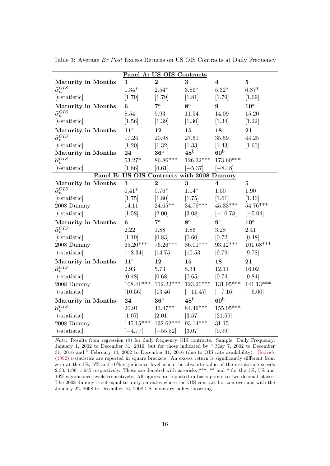|                            | Panel A: US OIS Contracts                 |                |                |                         |                |  |  |  |  |
|----------------------------|-------------------------------------------|----------------|----------------|-------------------------|----------------|--|--|--|--|
| Maturity in Months         | $\mathbf{1}$                              | $\overline{2}$ | 3              | 4                       | $\mathbf{5}$   |  |  |  |  |
| $\widehat{\alpha}_n^{OIS}$ | $1.34*$                                   | $2.54*$        | $3.86*$        | $5.32*$                 | $6.87*$        |  |  |  |  |
| $[t\text{-statistic}]$     | [1.79]                                    | [1.79]         | [1.81]         | [1.79]                  | [1.69]         |  |  |  |  |
| <b>Maturity in Months</b>  | 6                                         | $7^{\rm a}$    | 8 <sup>a</sup> | 9                       | $10^{\rm a}$   |  |  |  |  |
| $\widehat{\alpha}_n^{OIS}$ | 8.54                                      | 9.93           | 11.54          | 14.09                   | 15.20          |  |  |  |  |
| $[t\text{-statistic}]$     | $[1.56]$                                  | $[1.39]$       | $[1.30]$       | $[1.34]$                | $[1.22]$       |  |  |  |  |
| Maturity in Months         | $11^{\rm a}$                              | 12             | 15             | 18                      | 21             |  |  |  |  |
| $\widehat{\alpha}_n^{OIS}$ | 17.24                                     | 20.98          | 27.61          | 35.59                   | 44.25          |  |  |  |  |
| $[t\text{-statistic}]$     | [1.20]                                    | $[1.32]$       | $[1.33]$       | $[1.43]$                | [1.60]         |  |  |  |  |
| <b>Maturity in Months</b>  | 24                                        | $\rm 36^b$     | $48^{\rm b}$   | 60 <sup>b</sup>         |                |  |  |  |  |
| $\widehat{\alpha}_n^{OIS}$ | $53.27*$                                  | 86.86***       | 126.32***      | 173.60***               |                |  |  |  |  |
| $ t\text{-statistic} $     | [1.86]                                    | [4.61]         | $[-5.37]$      | $[-8.48]$               |                |  |  |  |  |
|                            | Panel B: US OIS Contracts with 2008 Dummy |                |                |                         |                |  |  |  |  |
| Maturity in Months         | $\mathbf{1}$                              | $\overline{2}$ | 3              | $\overline{\mathbf{4}}$ | $\overline{5}$ |  |  |  |  |
| $\widehat{\alpha}_n^{OIS}$ | $0.41*$                                   | $0.76*$        | $1.14*$        | 1.50                    | 1.90           |  |  |  |  |
| $[t\text{-statistic}]$     | [1.75]                                    | $[1.80]$       | [1.75]         | $[1.61]$                | $[1.40]$       |  |  |  |  |
| 2008 Dummy                 | 14.11                                     | $24.65**$      | $34.79***$     | $45.33***$              | $54.76***$     |  |  |  |  |
| $[t\text{-statistic}]$     | [1.58]                                    | $[2.00]$       | [3.08]         | $[-10.78]$              | $[-5.04]$      |  |  |  |  |
| <b>Maturity in Months</b>  | 6                                         | $7^{\rm a}$    | 8 <sup>a</sup> | $9^{\rm a}$             | $10^{\rm a}$   |  |  |  |  |
| $\widehat{\alpha}_n^{OIS}$ | 2.22                                      | 1.88           | 1.86           | 3.28                    | 2.41           |  |  |  |  |
| $[t\text{-statistic}]$     | [1.19]                                    | [0.83]         | [0.60]         | [0.72]                  | [0.48]         |  |  |  |  |
| 2008 Dummy                 | $65.20***$                                | 76.26***       | $86.01***$     | $93.12***$              | $101.68***$    |  |  |  |  |
| $[t\text{-statistic}]$     | $[-8.34]$                                 | [14.75]        | [10.53]        | $[9.79]$                | [9.78]         |  |  |  |  |
| <b>Maturity in Months</b>  | $11^{\rm a}$                              | 12             | 15             | 18                      | 21             |  |  |  |  |
| $\widehat{\alpha}_n^{OIS}$ | 2.93                                      | 5.73           | 8.34           | 12.11                   | 16.02          |  |  |  |  |
| $[t\text{-statistic}]$     | [0.48]                                    | [0.68]         | [0.65]         | [0.74]                  | [0.84]         |  |  |  |  |
| 2008 Dummy                 | $108.41***$                               | $112.22***$    | $123.26***$    | $131.95***$             | $141.13***$    |  |  |  |  |
| $[t\text{-statistic}]$     | [10.56]                                   | [13.46]        | $[-11.47]$     | $[-7.16]$               | $[-6.00]$      |  |  |  |  |
| <b>Maturity in Months</b>  | 24                                        | $36^{\rm b}$   | $48^{\rm b}$   | 60 <sup>b</sup>         |                |  |  |  |  |
| $\widehat{\alpha}_n^{OIS}$ | 20.91                                     | $43.47**$      | $84.49***$     | $155.05***$             |                |  |  |  |  |
| $[t\text{-statistic}]$     | [1.07]                                    | $[2.01]$       | [3.57]         | [21.59]                 |                |  |  |  |  |
| 2008 Dummy                 | $145.15***$                               | 132.62***      | $93.14***$     | 31.15                   |                |  |  |  |  |
| $[t\text{-statistic}]$     | $[-4.77]$                                 | $[-55.52]$     | [3.07]         | [0.99]                  |                |  |  |  |  |

<span id="page-16-0"></span>Table 3: Average Ex Post Excess Returns on US OIS Contracts at Daily Frequency

Note: Results from regression [\(8\)](#page-11-1) for daily frequency OIS contracts. Sample: Daily Frequency, January 1, 2002 to December 31, 2016, but for those indicated by <sup>a</sup> May 7, 2002 to December 31, 2016 and <sup>b</sup> February 14, 2002 to December 31, 2016 (due to OIS rate availability). [Hodrick](#page-37-9) [\(1992\)](#page-37-9) t-statistics are reported in square brackets. An excess return is significantly different from zero at the 1%, 5% and 10% significance level when the absolute value of the t-statistic exceeds 2.33, 1.96, 1.645 respectively. These are denoted with asterisks \*\*\*, \*\* and \* for the 1%, 5% and 10% significance levels respectively. All figures are reported in basis points to two decimal places. The 2008 dummy is set equal to unity on dates where the OIS contract horizon overlaps with the January 22, 2008 to December 16, 2008 US monetary policy loosening.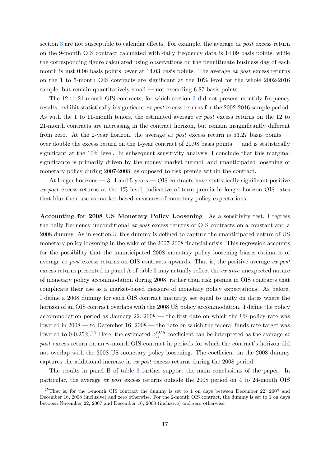section [3](#page-7-0) are not susceptible to calendar effects. For example, the average ex post excess return on the 9-month OIS contract calculated with daily frequency data is 14.09 basis points, while the corresponding figure calculated using observations on the penultimate business day of each month is just 0.06 basis points lower at  $14.03$  basis points. The average ex post excess returns on the 1 to 5-month OIS contracts are significant at the 10% level for the whole 2002-2016 sample, but remain quantitatively small — not exceeding  $6.87$  basis points.

The 12 to 21-month OIS contracts, for which section [3](#page-7-0) did not present monthly frequency results, exhibit statistically insignificant ex post excess returns for the 2002-2016 sample period. As with the 1 to 11-month tenors, the estimated average ex post excess returns on the 12 to 21-month contracts are increasing in the contract horizon, but remain insignificantly different from zero. At the 2-year horizon, the average ex post excess return is 53.27 basis points  $$ over double the excess return on the 1-year contract of 20.98 basis points — and is statistically significant at the 10% level. In subsequent sensitivity analysis, I conclude that this marginal significance is primarily driven by the money market turmoil and unanticipated loosening of monetary policy during 2007-2008, as opposed to risk premia within the contract.

At longer horizons  $-3$ , 4 and 5 years  $-$  OIS contracts have statistically significant positive ex post excess returns at the 1% level, indicative of term premia in longer-horizon OIS rates that blur their use as market-based measures of monetary policy expectations.

Accounting for 2008 US Monetary Policy Loosening As a sensitivity test, I regress the daily frequency unconditional ex post excess returns of OIS contracts on a constant and a 2008 dummy. As in section [3,](#page-7-0) this dummy is defined to capture the unanticipated nature of US monetary policy loosening in the wake of the 2007-2008 financial crisis. This regression accounts for the possibility that the unanticipated 2008 monetary policy loosening biases estimates of average ex post excess returns on OIS contracts upwards. That is, the positive average ex post excess returns presented in panel A of table [3](#page-16-0) may actually reflect the ex ante unexpected nature of monetary policy accommodation during 2008, rather than risk premia in OIS contracts that complicate their use as a market-based measure of monetary policy expectations. As before, I define a 2008 dummy for each OIS contract maturity, set equal to unity on dates where the horizon of an OIS contract overlaps with the 2008 US policy accommodation. I define the policy accommodation period as January 22, 2008 — the first date on which the US policy rate was lowered in 2008 — to December 16, 2008 — the date on which the federal funds rate target was lowered to 0-0.[25](#page-17-0)%.<sup>25</sup> Here, the estimated  $\alpha_n^{OIS}$  coefficient can be interpreted as the average expost excess return on an n-month OIS contract in periods for which the contract's horizon did not overlap with the 2008 US monetary policy loosening. The coefficient on the 2008 dummy captures the additional increase in ex post excess returns during the 2008 period.

The results in panel B of table [3](#page-16-0) further support the main conclusions of the paper. In particular, the average ex post excess returns outside the 2008 period on 4 to 24-month OIS

<span id="page-17-0"></span> $^{25}$ That is, for the 1-month OIS contract the dummy is set to 1 on days between December 22, 2007 and December 16, 2008 (inclusive) and zero otherwise. For the 2-month OIS contract, the dummy is set to 1 on days between November 22, 2007 and December 16, 2008 (inclusive) and zero otherwise.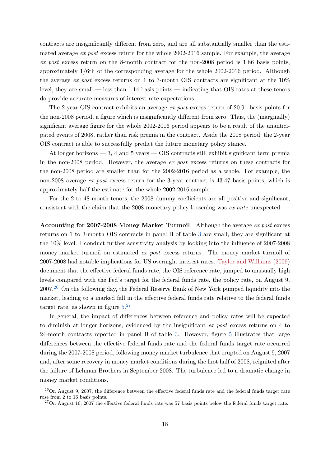contracts are insignificantly different from zero, and are all substantially smaller than the estimated average ex post excess return for the whole 2002-2016 sample. For example, the average ex post excess return on the 8-month contract for the non-2008 period is 1.86 basis points, approximately 1/6th of the corresponding average for the whole 2002-2016 period. Although the average ex post excess returns on 1 to 3-month OIS contracts are significant at the  $10\%$ level, they are small — less than 1.14 basis points — indicating that OIS rates at these tenors do provide accurate measures of interest rate expectations.

The 2-year OIS contract exhibits an average ex post excess return of 20.91 basis points for the non-2008 period, a figure which is insignificantly different from zero. Thus, the (marginally) significant average figure for the whole 2002-2016 period appears to be a result of the unanticipated events of 2008, rather than risk premia in the contract. Aside the 2008 period, the 2-year OIS contract is able to successfully predict the future monetary policy stance.

At longer horizons — 3, 4 and 5 years — OIS contracts still exhibit significant term premia in the non-2008 period. However, the average ex post excess returns on these contracts for the non-2008 period are smaller than for the 2002-2016 period as a whole. For example, the non-2008 average ex post excess return for the 3-year contract is 43.47 basis points, which is approximately half the estimate for the whole 2002-2016 sample.

For the 2 to 48-month tenors, the 2008 dummy coefficients are all positive and significant, consistent with the claim that the 2008 monetary policy loosening was ex ante unexpected.

Accounting for 2007-2008 Money Market Turmoil Although the average ex post excess returns on 1 to 3-month OIS contracts in panel B of table [3](#page-16-0) are small, they are significant at the 10% level. I conduct further sensitivity analysis by looking into the influence of 2007-2008 money market turmoil on estimated *ex post* excess returns. The money market turmoil of 2007-2008 had notable implications for US overnight interest rates. [Taylor and Williams](#page-39-3) [\(2009\)](#page-39-3) document that the effective federal funds rate, the OIS reference rate, jumped to unusually high levels compared with the Fed's target for the federal funds rate, the policy rate, on August 9, 2007.[26](#page-18-0) On the following day, the Federal Reserve Bank of New York pumped liquidity into the market, leading to a marked fall in the effective federal funds rate relative to the federal funds target rate, as shown in figure  $5.^{27}$  $5.^{27}$  $5.^{27}$  $5.^{27}$ 

In general, the impact of differences between reference and policy rates will be expected to diminish at longer horizons, evidenced by the insignificant ex post excess returns on 4 to 24-month contracts reported in panel B of table [3.](#page-16-0) However, figure [5](#page-19-0) illustrates that large differences between the effective federal funds rate and the federal funds target rate occurred during the 2007-2008 period, following money market turbulence that erupted on August 9, 2007 and, after some recovery in money market conditions during the first half of 2008, reignited after the failure of Lehman Brothers in September 2008. The turbulence led to a dramatic change in money market conditions.

<span id="page-18-0"></span> $\frac{26}{100}$  August 9, 2007, the difference between the effective federal funds rate and the federal funds target rate rose from 2 to 16 basis points.

<span id="page-18-1"></span> $27$ On August 10, 2007 the effective federal funds rate was 57 basis points below the federal funds target rate.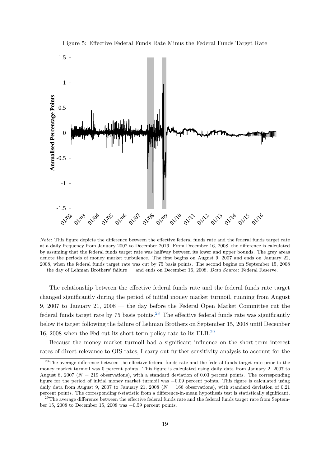<span id="page-19-0"></span>

Figure 5: Effective Federal Funds Rate Minus the Federal Funds Target Rate

Note: This figure depicts the difference between the effective federal funds rate and the federal funds target rate at a daily frequency from January 2002 to December 2016. From December 16, 2008, the difference is calculated by assuming that the federal funds target rate was halfway between its lower and upper bounds. The grey areas denote the periods of money market turbulence. The first begins on August 9, 2007 and ends on January 22, 2008, when the federal funds target rate was cut by 75 basis points. The second begins on September 15, 2008 — the day of Lehman Brothers' failure — and ends on December 16, 2008. Data Source: Federal Reserve.

The relationship between the effective federal funds rate and the federal funds rate target changed significantly during the period of initial money market turmoil, running from August 9, 2007 to January 21, 2008 — the day before the Federal Open Market Committee cut the federal funds target rate by  $75$  basis points.<sup>[28](#page-19-1)</sup> The effective federal funds rate was significantly below its target following the failure of Lehman Brothers on September 15, 2008 until December 16, 2008 when the Fed cut its short-term policy rate to its ELB.[29](#page-19-2)

Because the money market turmoil had a significant influence on the short-term interest rates of direct relevance to OIS rates, I carry out further sensitivity analysis to account for the

<span id="page-19-1"></span><sup>&</sup>lt;sup>28</sup>The average difference between the effective federal funds rate and the federal funds target rate prior to the money market turmoil was 0 percent points. This figure is calculated using daily data from January 2, 2007 to August 8, 2007 ( $N = 219$  observations), with a standard deviation of 0.03 percent points. The corresponding figure for the period of initial money market turmoil was −0.09 percent points. This figure is calculated using daily data from August 9, 2007 to January 21, 2008 ( $N = 166$  observations), with standard deviation of 0.21 percent points. The corresponding t-statistic from a difference-in-mean hypothesis test is statistically significant.

<span id="page-19-2"></span> $^{29}$ The average difference between the effective federal funds rate and the federal funds target rate from September 15, 2008 to December 15, 2008 was −0.59 percent points.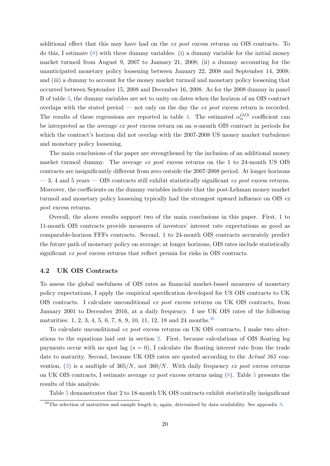additional effect that this may have had on the ex post excess returns on OIS contracts. To do this, I estimate [\(8\)](#page-11-1) with three dummy variables: (i) a dummy variable for the initial money market turmoil from August 9, 2007 to January 21, 2008; (ii) a dummy accounting for the unanticipated monetary policy loosening between January 22, 2008 and September 14, 2008; and (iii) a dummy to account for the money market turmoil and monetary policy loosening that occurred between September 15, 2008 and December 16, 2008. As for the 2008 dummy in panel B of table [3,](#page-16-0) the dummy variables are set to unity on dates when the horizon of an OIS contract overlaps with the stated period — not only on the day the  $ex$  post excess return is recorded. The results of these regressions are reported in table [4.](#page-21-0) The estimated  $\alpha_n^{OIS}$  coefficient can be interpreted as the average ex post excess return on an n-month OIS contract in periods for which the contract's horizon did not overlap with the 2007-2008 US money market turbulence and monetary policy loosening.

The main conclusions of the paper are strengthened by the inclusion of an additional money market turmoil dummy. The average ex post excess returns on the 1 to 24-month US OIS contracts are insignificantly different from zero outside the 2007-2008 period. At longer horizons  $-3$ , 4 and 5 years  $-$  OIS contracts still exhibit statistically significant ex post excess returns. Moreover, the coefficients on the dummy variables indicate that the post-Lehman money market turmoil and monetary policy loosening typically had the strongest upward influence on OIS ex post excess returns.

Overall, the above results support two of the main conclusions in this paper. First, 1 to 11-month OIS contracts provide measures of investors' interest rate expectations as good as comparable-horizon FFFs contracts. Second, 1 to 24-month OIS contracts accurately predict the future path of monetary policy on average; at longer horizons, OIS rates include statistically significant ex post excess returns that reflect premia for risks in OIS contracts.

#### 4.2 UK OIS Contracts

To assess the global usefulness of OIS rates as financial market-based measures of monetary policy expectations, I apply the empirical specification developed for US OIS contracts to UK OIS contracts. I calculate unconditional ex post excess returns on UK OIS contracts, from January 2001 to December 2016, at a daily frequency. I use UK OIS rates of the following maturities: 1, 2, 3, 4, 5, 6, 7, 8, 9, 10, 11, 12, 18 and 24 months.<sup>[30](#page-20-0)</sup>

To calculate unconditional ex post excess returns on UK OIS contracts, I make two alterations to the equations laid out in section [2.](#page-4-0) First, because calculations of OIS floating leg payments occur with no spot lag  $(s = 0)$ , I calculate the floating interest rate from the trade date to maturity. Second, because UK OIS rates are quoted according to the Actual 365 con-vention, [\(3\)](#page-6-4) is a multiple of  $365/N$ , not  $360/N$ . With daily frequency ex post excess returns on UK OIS contracts, I estimate average ex post excess returns using  $(8)$ . Table [5](#page-22-0) presents the results of this analysis.

Table [5](#page-22-0) demonstrates that 2 to 18-month UK OIS contracts exhibit statistically insignificant

<span id="page-20-0"></span><sup>&</sup>lt;sup>30</sup>The selection of maturities and sample length is, again, determined by data availability. See appendix [A.](#page-34-0)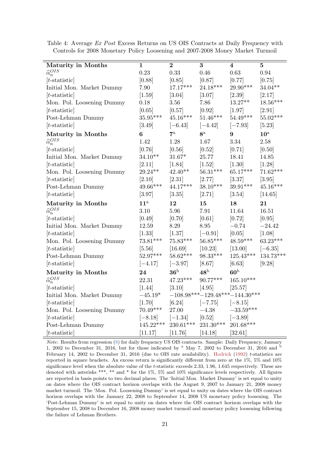| Maturity in Months         | $\mathbf 1$            | $\bf{2}$     | 3                                | $\overline{\mathbf{4}}$ | $\bf{5}$     |
|----------------------------|------------------------|--------------|----------------------------------|-------------------------|--------------|
| $\widehat{\alpha}_n^{OIS}$ | 0.23                   | 0.33         | 0.46                             | 0.63                    | $\rm 0.94$   |
| $[t\text{-statistic}]$     | [0.88]                 | [0.85]       | [0.87]                           | [0.77]                  | [0.75]       |
| Initial Mon. Market Dummy  | 7.90                   | $17.17***$   | $24.18***$                       | $29.90***$              | $34.04**$    |
| $[t\text{-statistic}]$     | [1.59]                 | $[3.04]$     | [3.07]                           | $[2.39]$                | [2.17]       |
| Mon. Pol. Loosening Dummy  | 0.18                   | $3.56\,$     | 7.86                             | $13.27**$               | $18.56***$   |
| $[t\text{-statistic}]$     | [0.05]                 | [0.57]       | [0.92]                           | [1.97]                  | [2.91]       |
| Post-Lehman Dummy          | $35.95^{\ast\ast\ast}$ | $45.16***$   | $51.46^{***}\,$                  | $54.49***$              | $55.02***$   |
| $[t\text{-statistic}]$     | [3.49]                 | $[-6.43]$    | $[-4.42]$                        | $[-7.93]$               | [5.23]       |
| <b>Maturity in Months</b>  | 6                      | $7^{\rm a}$  | 8 <sup>a</sup>                   | 9                       | $10^{\rm a}$ |
| $\widehat{\alpha}_n^{OIS}$ | 1.42                   | 1.28         | 1.67                             | 3.34                    | 2.58         |
| $[t\text{-statistic}]$     | [0.76]                 | [0.56]       | [0.52]                           | [0.71]                  | [0.50]       |
| Initial Mon. Market Dummy  | $34.10**$              | $31.67*$     | 25.77                            | 18.41                   | 14.85        |
| $[t\text{-statistic}]$     | [2.11]                 | $[1.84]$     | [1.52]                           | $[1.30]$                | $[1.28]$     |
| Mon. Pol. Loosening Dummy  | $29.24**$              | $42.40**$    | $56.31***$                       | $65.17***$              | $71.62***$   |
| $[t\text{-statistic}]$     | [2.10]                 | $[2.31]$     | [2.77]                           | [3.37]                  | [3.95]       |
| Post-Lehman Dummy          | $49.66***$             | $44.17***$   | $38.10***$                       | 39.91***                | $45.16***$   |
| $[t\text{-statistic}]$     | [3.97]                 | [3.35]       | [2.71]                           | $[3.54]$                | [14.65]      |
| <b>Maturity in Months</b>  | $11^{\rm a}$           | 12           | 15                               | 18                      | 21           |
| $\widehat{\alpha}_n^{OIS}$ | 3.10                   | 5.96         | 7.91                             | 11.64                   | 16.51        |
| $[t\text{-statistic}]$     | [0.49]                 | [0.70]       | [0.61]                           | $[0.72]$                | [0.95]       |
| Initial Mon. Market Dummy  | 12.59                  | 8.29         | 8.95                             | $-0.74$                 | $-24.42$     |
| $[t\text{-statistic}]$     | $[1.33]$               | [1.37]       | $[-0.91]$                        | [0.05]                  | [1.08]       |
| Mon. Pol. Loosening Dummy  | $73.81***$             | $75.83***$   | $56.85***$                       | $48.59***$              | $63.23***$   |
| $[t\text{-statistic}]$     | $[5.56]$               | [16.69]      | [10.23]                          | [13.00]                 | $[-6.35]$    |
| Post-Lehman Dummy          | $52.97***$             | $58.62***$   | 98.33***                         | $125.43***$             | $134.73***$  |
| $[t\text{-statistic}]$     | $[-4.17]$              | $[-3.97]$    | [8.67]                           | $[6.63]$                | $[9.28]$     |
| <b>Maturity in Months</b>  | 24                     | $36^{\rm b}$ | $48^{\rm b}$                     | 60 <sup>b</sup>         |              |
| $\widehat{\alpha}_n^{OIS}$ | 22.31                  | $47.23***$   | 90.77***                         | $165.10***$             |              |
| $[t\text{-statistic}]$     | $[1.44]$               | [3.10]       | [4.95]                           | [25.57]                 |              |
| Initial Mon. Market Dummy  | $-45.19*$              |              | $-108.98***-129.48***-144.30***$ |                         |              |
| $[t\text{-statistic}]$     | [1.70]                 | [6.24]       | $[-7.75]$                        | $[-8.15]$               |              |
| Mon. Pol. Loosening Dummy  | $70.49***$             | 27.00        | $-4.38$                          | $-33.59***$             |              |
| $[t\text{-statistic}]$     | $[-8.18]$              | $[-1.34]$    | [0.52]                           | $[-3.89]$               |              |
| Post-Lehman Dummy          | $145.22***$            | $230.61***$  | $231.30***$                      | $201.68***$             |              |
| $[t\text{-statistic}]$     | [11.17]                | [11.76]      | [14.18]                          | [32.61]                 |              |

<span id="page-21-0"></span>Table 4: Average Ex Post Excess Returns on US OIS Contracts at Daily Frequency with Controls for 2008 Monetary Policy Loosening and 2007-2008 Money Market Turmoil

Note: Results from regression [\(8\)](#page-11-1) for daily frequency US OIS contracts. Sample: Daily Frequency, January 1, 2002 to December 31, 2016, but for those indicated by  $^a$  May 7, 2002 to December 31, 2016 and  $^b$ February 14, 2002 to December 31, 2016 (due to OIS rate availability). [Hodrick](#page-37-9) [\(1992\)](#page-37-9) t-statistics are reported in square brackets. An excess return is significantly different from zero at the 1%, 5% and 10% significance level when the absolute value of the t-statistic exceeds 2.33, 1.96, 1.645 respectively. These are denoted with asterisks \*\*\*, \*\* and \* for the 1%, 5% and 10% significance levels respectively. All figures are reported in basis points to two decimal places. The 'Initial Mon. Market Dummy' is set equal to unity on dates where the OIS contract horizon overlaps with the August 9, 2007 to January 21, 2008 money market turmoil. The 'Mon. Pol. Loosening Dummy' is set equal to unity on dates where the OIS contract horizon overlaps with the January 22, 2008 to September 14, 2008 US monetary policy loosening. The 'Post-Lehman Dummy' is set equal to unity on dates where the OIS contract horizon overlaps with the September 15, 2008 to December 16, 2008 money market turmoil and monetary policy loosening following the failure of Lehman Brothers.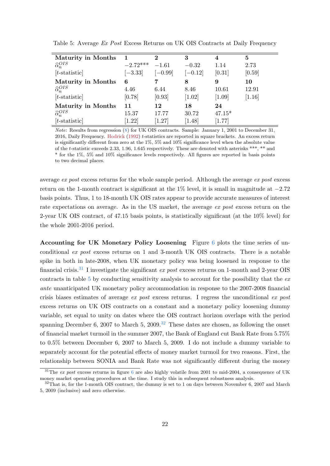| <b>Maturity in Months</b>  |            | $\overline{2}$ | 3         | 4        | 5      |
|----------------------------|------------|----------------|-----------|----------|--------|
| $\widehat{\alpha}_n^{OIS}$ | $-2.72***$ | $-1.61$        | $-0.32$   | 1.14     | 2.73   |
| $[t\text{-statistic}]$     | $[-3.33]$  | $[-0.99]$      | $[-0.12]$ | [0.31]   | [0.59] |
| <b>Maturity in Months</b>  | 6          | 7              | 8         | 9        | 10     |
| $\widehat{\alpha}_n^{OIS}$ | 4.46       | 6.44           | 8.46      | 10.61    | 12.91  |
| $[t\text{-statistic}]$     | [0.78]     | [0.93]         | [1.02]    | [1.09]   | [1.16] |
| <b>Maturity in Months</b>  | 11         | 12             | 18        | 24       |        |
| $\widehat{\alpha}_n^{OIS}$ | 15.37      | 17.77          | 30.72     | $47.15*$ |        |
| $[t\text{-statistic}]$     | 1.22       | [1.27]         | [1.48]    | [1.77]   |        |

<span id="page-22-0"></span>Table 5: Average Ex Post Excess Returns on UK OIS Contracts at Daily Frequency

Note: Results from regression [\(8\)](#page-11-1) for UK OIS contracts. Sample: January 1, 2001 to December 31, 2016, Daily Frequency. [Hodrick](#page-37-9) [\(1992\)](#page-37-9) t-statistics are reported in square brackets. An excess return is significantly different from zero at the 1%, 5% and 10% significance level when the absolute value of the t-statistic exceeds 2.33, 1.96, 1.645 respectively. These are denoted with asterisks \*\*\*, \*\* and \* for the 1%, 5% and 10% significance levels respectively. All figures are reported in basis points to two decimal places.

average ex post excess returns for the whole sample period. Although the average ex post excess return on the 1-month contract is significant at the  $1\%$  level, it is small in magnitude at  $-2.72$ basis points. Thus, 1 to 18-month UK OIS rates appear to provide accurate measures of interest rate expectations on average. As in the US market, the average ex post excess return on the 2-year UK OIS contract, of 47.15 basis points, is statistically significant (at the 10% level) for the whole 2001-2016 period.

Accounting for UK Monetary Policy Loosening Figure [6](#page-23-0) plots the time series of unconditional ex post excess returns on 1 and 3-month UK OIS contracts. There is a notable spike in both in late-2008, when UK monetary policy was being loosened in response to the financial crisis.<sup>[31](#page-22-1)</sup> I investigate the significant  $ex$  post excess returns on 1-month and 2-year OIS contracts in table [5](#page-22-0) by conducting sensitivity analysis to account for the possibility that the  $ex$ ante unanticipated UK monetary policy accommodation in response to the 2007-2008 financial crisis biases estimates of average  $ex$  post excess returns. I regress the unconditional  $ex$  post excess returns on UK OIS contracts on a constant and a monetary policy loosening dummy variable, set equal to unity on dates where the OIS contract horizon overlaps with the period spanning December 6, 2007 to March 5, 2009.<sup>[32](#page-22-2)</sup> These dates are chosen, as following the onset of financial market turmoil in the summer 2007, the Bank of England cut Bank Rate from 5.75% to 0.5% between December 6, 2007 to March 5, 2009. I do not include a dummy variable to separately account for the potential effects of money market turmoil for two reasons. First, the relationship between SONIA and Bank Rate was not significantly different during the money

<span id="page-22-1"></span><sup>&</sup>lt;sup>31</sup>The ex post excess returns in figure [6](#page-23-0) are also highly volatile from 2001 to mid-2004, a consequence of UK money market operating procedures at the time. I study this in subsequent robustness analysis.

<span id="page-22-2"></span> $32$ That is, for the 1-month OIS contract, the dummy is set to 1 on days between November 6, 2007 and March 5, 2009 (inclusive) and zero otherwise.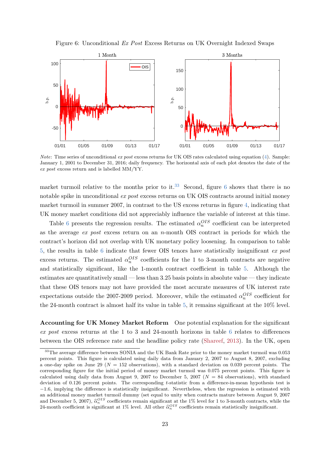Figure 6: Unconditional Ex Post Excess Returns on UK Overnight Indexed Swaps

<span id="page-23-0"></span>

*Note:* Time series of unconditional ex post excess returns for UK OIS rates calculated using equation  $(4)$ . Sample: January 1, 2001 to December 31, 2016; daily frequency. The horizontal axis of each plot denotes the date of the ex post excess return and is labelled MM/YY.

market turmoil relative to the months prior to it.<sup>[33](#page-23-1)</sup> Second, figure [6](#page-23-0) shows that there is no notable spike in unconditional ex post excess returns on UK OIS contracts around initial money market turmoil in summer 2007, in contrast to the US excess returns in figure [4,](#page-11-0) indicating that UK money market conditions did not appreciably influence the variable of interest at this time.

Table [6](#page-24-0) presents the regression results. The estimated  $\alpha_n^{OIS}$  coefficient can be interpreted as the average  $ex$  post excess return on an n-month OIS contract in periods for which the contract's horizon did not overlap with UK monetary policy loosening. In comparison to table [5,](#page-22-0) the results in table [6](#page-24-0) indicate that fewer OIS tenors have statistically insignificant ex post excess returns. The estimated  $\alpha_n^{OIS}$  coefficients for the 1 to 3-month contracts are negative and statistically significant, like the 1-month contract coefficient in table [5.](#page-22-0) Although the estimates are quantitatively small — less than 3.25 basis points in absolute value — they indicate that these OIS tenors may not have provided the most accurate measures of UK interest rate expectations outside the 2007-2009 period. Moreover, while the estimated  $\alpha_n^{OIS}$  coefficient for the 24-month contract is almost half its value in table [5,](#page-22-0) it remains significant at the 10% level.

Accounting for UK Money Market Reform One potential explanation for the significant ex post excess returns at the 1 to 3 and 24-month horizons in table [6](#page-24-0) relates to differences between the OIS reference rate and the headline policy rate [\(Shareef,](#page-38-11) [2013\)](#page-38-11). In the UK, open

<span id="page-23-1"></span><sup>&</sup>lt;sup>33</sup>The average difference between SONIA and the UK Bank Rate prior to the money market turmoil was 0.053 percent points. This figure is calculated using daily data from January 2, 2007 to August 8, 2007, excluding a one-day spike on June 29 ( $N = 152$  observations), with a standard deviation on 0.039 percent points. The corresponding figure for the initial period of money market turmoil was 0.075 percent points. This figure is calculated using daily data from August 9, 2007 to December 5, 2007 ( $N = 84$  observations), with standard deviation of 0.126 percent points. The corresponding t-statistic from a difference-in-mean hypothesis test is −1.6, implying the difference is statistically insignificant. Nevertheless, when the regression is estimated with an additional money market turmoil dummy (set equal to unity when contracts mature between August 9, 2007 and December 5, 2007),  $\hat{\alpha}_n^{OIS}$  coefficients remain significant at the 1% level for 1 to 3-month contracts, while the 24 month coefficient is significant at  $1\%$  level. All other  $\hat{\alpha}^{OIS}$  coefficients remain stati 24-month coefficient is significant at 1% level. All other  $\hat{\alpha}_n^{OIS}$  coefficients remain statistically insignificant.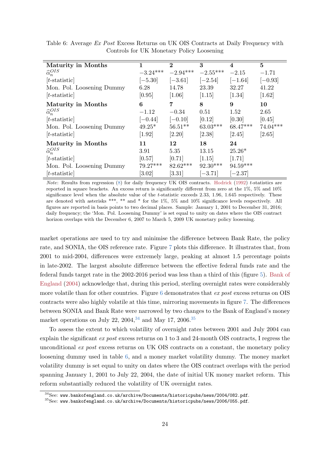| <b>Maturity in Months</b>  | 1          | $\bf{2}$   | 3          | $\overline{\mathbf{4}}$ | 5          |
|----------------------------|------------|------------|------------|-------------------------|------------|
| $\widehat{\alpha}_n^{OIS}$ | $-3.24***$ | $-2.94***$ | $-2.55***$ | $-2.15$                 | $-1.71$    |
| $[t\text{-statistic}]$     | $[-5.30]$  | $[-3.61]$  | $[-2.54]$  | $[-1.64]$               | $[-0.93]$  |
| Mon. Pol. Loosening Dummy  | 6.28       | 14.78      | 23.39      | 32.27                   | 41.22      |
| $[t\text{-statistic}]$     | [0.95]     | [1.06]     | [1.15]     | [1.34]                  | $[1.62]$   |
| <b>Maturity in Months</b>  | 6          | 7          | 8          | 9                       | 10         |
| $\widehat{\alpha}_n^{OIS}$ | $-1.12$    | $-0.34$    | 0.51       | 1.52                    | 2.65       |
| $[t\text{-statistic}]$     | $[-0.44]$  | $[-0.10]$  | [0.12]     | [0.30]                  | [0.45]     |
| Mon. Pol. Loosening Dummy  | $49.25*$   | $56.51**$  | $63.03***$ | $68.47***$              | $74.04***$ |
| $[t\text{-statistic}]$     | $[1.92]$   | [2.20]     | [2.38]     | [2.45]                  | [2.65]     |
| Maturity in Months         | 11         | 12         | 18         | 24                      |            |
| $\widehat{\alpha}_n^{OIS}$ | 3.91       | 5.35       | 13.15      | $25.26*$                |            |
| $[t\text{-statistic}]$     | [0.57]     | [0.71]     | [1.15]     | [1.71]                  |            |
| Mon. Pol. Loosening Dummy  | $79.27***$ | $82.62***$ | $92.30***$ | 94.59***                |            |
| $[t\text{-statistic}]$     | [3.02]     | [3.31]     | $-3.71$    | $-2.37$                 |            |

<span id="page-24-0"></span>Table 6: Average Ex Post Excess Returns on UK OIS Contracts at Daily Frequency with Controls for UK Monetary Policy Loosening

Note: Results from regression  $(8)$  for daily frequency UK OIS contracts. [Hodrick](#page-37-9) [\(1992\)](#page-37-9) t-statistics are reported in square brackets. An excess return is significantly different from zero at the 1%, 5% and 10% significance level when the absolute value of the t-statistic exceeds 2.33, 1.96, 1.645 respectively. These are denoted with asterisks \*\*\*, \*\* and \* for the 1%, 5% and 10% significance levels respectively. All figures are reported in basis points to two decimal places. Sample: January 1, 2001 to December 31, 2016; daily frequency; the 'Mon. Pol. Loosening Dummy' is set equal to unity on dates where the OIS contract horizon overlaps with the December 6, 2007 to March 5, 2009 UK monetary policy loosening.

market operations are used to try and minimise the difference between Bank Rate, the policy rate, and SONIA, the OIS reference rate. Figure [7](#page-25-0) plots this difference. It illustrates that, from 2001 to mid-2004, differences were extremely large, peaking at almost 1.5 percentage points in late-2002. The largest absolute difference between the effective federal funds rate and the federal funds target rate in the 2002-2016 period was less than a third of this (figure [5\)](#page-19-0). [Bank of](#page-37-11) [England](#page-37-11) [\(2004\)](#page-37-11) acknowledge that, during this period, sterling overnight rates were considerably more volatile than for other countries. Figure [6](#page-23-0) demonstrates that ex post excess returns on OIS contracts were also highly volatile at this time, mirroring movements in figure [7.](#page-25-0) The differences between SONIA and Bank Rate were narrowed by two changes to the Bank of England's money market operations on July 22,  $2004<sup>34</sup>$  $2004<sup>34</sup>$  $2004<sup>34</sup>$  and May 17,  $2006<sup>35</sup>$  $2006<sup>35</sup>$  $2006<sup>35</sup>$ 

To assess the extent to which volatility of overnight rates between 2001 and July 2004 can explain the significant ex post excess returns on 1 to 3 and 24-month OIS contracts, I regress the unconditional ex post excess returns on UK OIS contracts on a constant, the monetary policy loosening dummy used in table [6,](#page-24-0) and a money market volatility dummy. The money market volatility dummy is set equal to unity on dates where the OIS contract overlaps with the period spanning January 1, 2001 to July 22, 2004, the date of initial UK money market reform. This reform substantially reduced the volatility of UK overnight rates.

<span id="page-24-1"></span> $34$ See: <www.bankofengland.co.uk/archive/Documents/historicpubs/news/2004/082.pdf>.

<span id="page-24-2"></span> $^{35}$ See: <www.bankofengland.co.uk/archive/Documents/historicpubs/news/2006/055.pdf>.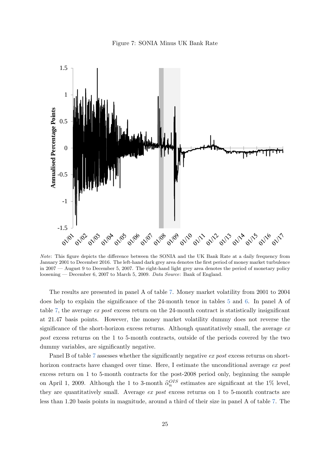

<span id="page-25-0"></span>

Note: This figure depicts the difference between the SONIA and the UK Bank Rate at a daily frequency from January 2001 to December 2016. The left-hand dark grey area denotes the first period of money market turbulence in 2007 — August 9 to December 5, 2007. The right-hand light grey area denotes the period of monetary policy loosening — December 6, 2007 to March 5, 2009. Data Source: Bank of England.

The results are presented in panel A of table [7.](#page-26-0) Money market volatility from 2001 to 2004 does help to explain the significance of the 24-month tenor in tables [5](#page-22-0) and [6.](#page-24-0) In panel A of table [7,](#page-26-0) the average ex post excess return on the 24-month contract is statistically insignificant at 21.47 basis points. However, the money market volatility dummy does not reverse the significance of the short-horizon excess returns. Although quantitatively small, the average  $ex$ post excess returns on the 1 to 5-month contracts, outside of the periods covered by the two dummy variables, are significantly negative.

Panel B of table [7](#page-26-0) assesses whether the significantly negative ex post excess returns on shorthorizon contracts have changed over time. Here, I estimate the unconditional average ex post excess return on 1 to 5-month contracts for the post-2008 period only, beginning the sample on April 1, 2009. Although the 1 to 3-month  $\hat{\alpha}_n^{OIS}$  estimates are significant at the 1% level, they are quantitatively small. Average ex post excess returns on 1 to 5-month contracts are less than 1.20 basis points in magnitude, around a third of their size in panel A of table [7.](#page-26-0) The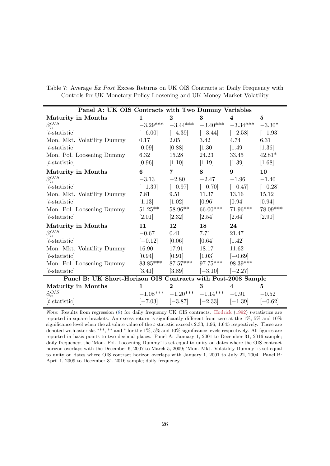<span id="page-26-0"></span>

|  |  |  | Table 7: Average Ex Post Excess Returns on UK OIS Contracts at Daily Frequency with |  |  |
|--|--|--|-------------------------------------------------------------------------------------|--|--|
|  |  |  | Controls for UK Monetary Policy Loosening and UK Money Market Volatility            |  |  |

| Panel A: UK OIS Contracts with Two Dummy Variables            |                     |                       |                                  |                             |           |
|---------------------------------------------------------------|---------------------|-----------------------|----------------------------------|-----------------------------|-----------|
| <b>Maturity in Months</b>                                     | $\mathbf{1}$        | $\mathbf{2}$          | 3                                | $\overline{\mathbf{4}}$     | $\bf{5}$  |
| $\widehat{\alpha}_n^{OIS}$                                    | $-3.29***$          |                       | $-3.44***$ $-3.40***$            | $-3.34***$                  | $-3.30*$  |
| $[t\text{-statistic}]$                                        | $[-6.00]$           | $[-4.39]$             | $[-3.44]$                        | $[-2.58]$                   | $[-1.93]$ |
| Mon. Mkt. Volatility Dummy                                    | 0.17                | 2.05                  | 3.42                             | 4.74                        | 6.31      |
| $[t\text{-statistic}]$                                        | [0.09]              | [0.88]                | $\left[1.30\right]$              | $\left[1.49\right]$         | $[1.36]$  |
| Mon. Pol. Loosening Dummy                                     | 6.32                | 15.28                 | 24.23                            | 33.45                       | $42.81*$  |
| $[t\text{-statistic}]$                                        | [0.96]              | $\left[1.10\right]$   | $\left[1.19\right]$              | $\left[1.39\right]$         | [1.68]    |
| <b>Maturity in Months</b>                                     | 6                   | 7                     | 8                                | 9                           | 10        |
| $\widehat{\alpha}_n^{OIS}$                                    | $-3.13$             | $-2.80$               | $-2.47$                          | $-1.96$                     | $-1.40$   |
| $[t\text{-statistic}]$                                        | $[-1.39]$ $[-0.97]$ |                       | $[-0.70]$                        | $[-0.47]$                   | $[-0.28]$ |
| Mon. Mkt. Volatility Dummy                                    | 7.81                | 9.51                  | 11.37                            | 13.16                       | 15.12     |
| $[t\text{-statistic}]$                                        | $\left[1.13\right]$ | [1.02]                | [0.96]                           | [0.94]                      | [0.94]    |
| Mon. Pol. Loosening Dummy                                     | $51.25***$          | $58.96**$             | $66.00***$                       | $71.96***$                  | 78.09***  |
| $[t\text{-statistic}]$                                        | [2.01]              | [2.32]                | [2.54]                           | [2.64]                      | $[2.90]$  |
| <b>Maturity in Months</b>                                     | 11                  | 12                    | 18                               | 24                          |           |
| $\widehat{\alpha}_n^{OIS}$                                    | $-0.67$             | 0.41                  | 7.71                             | 21.47                       |           |
| $[t\text{-statistic}]$                                        | $[-0.12]$           | [0.06]                | [0.64]                           | $[1.42]$                    |           |
| Mon. Mkt. Volatility Dummy                                    | 16.90               | 17.91                 | 18.17                            | 11.62                       |           |
| $[t\text{-statistic}]$                                        | [0.94]              | $[0.91]$              | $\left[1.03\right]$              | $[-0.69]$                   |           |
| Mon. Pol. Loosening Dummy                                     |                     | $83.85***$ $87.57***$ | $97.75***$                       | 98.39***                    |           |
| $[t\text{-statistic}]$                                        | [3.41]              | [3.89]                | $[-3.10]$                        | $[-2.27]$                   |           |
| Panel B: UK Short-Horizon OIS Contracts with Post-2008 Sample |                     |                       |                                  |                             |           |
| <b>Maturity in Months</b>                                     | $\mathbf{1}$        | $\mathbf{2}$          | 3                                | $\boldsymbol{\vartriangle}$ | 5         |
| $\widehat{\alpha}_n^{OIS}$                                    |                     |                       | $-1.08***$ $-1.20***$ $-1.14***$ | $-0.91$                     | $-0.52$   |
| $[t\text{-statistic}]$                                        | $[-7.03]$           |                       | $[-3.87]$ $[-2.33]$ $[-1.39]$    |                             | $[-0.62]$ |

Note: Results from regression [\(8\)](#page-11-1) for daily frequency UK OIS contracts. [Hodrick](#page-37-9) [\(1992\)](#page-37-9) t-statistics are reported in square brackets. An excess return is significantly different from zero at the 1%, 5% and 10% significance level when the absolute value of the t-statistic exceeds 2.33, 1.96, 1.645 respectively. These are denoted with asterisks \*\*\*, \*\* and \* for the 1%, 5% and 10% significance levels respectively. All figures are reported in basis points to two decimal places. Panel A: January 1, 2001 to December 31, 2016 sample; daily frequency; the 'Mon. Pol. Loosening Dummy' is set equal to unity on dates where the OIS contract horizon overlaps with the December 6, 2007 to March 5, 2009; 'Mon. Mkt. Volatility Dummy' is set equal to unity on dates where OIS contract horizon overlaps with January 1, 2001 to July 22, 2004. Panel B: April 1, 2009 to December 31, 2016 sample; daily frequency.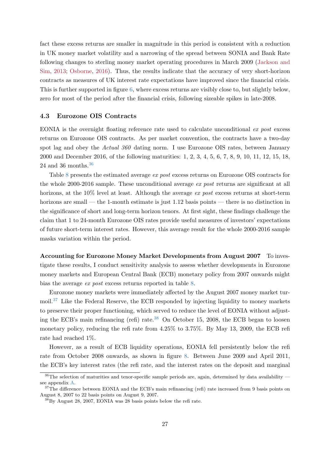fact these excess returns are smaller in magnitude in this period is consistent with a reduction in UK money market volatility and a narrowing of the spread between SONIA and Bank Rate following changes to sterling money market operating procedures in March 2009 [\(Jackson and](#page-38-12) [Sim,](#page-38-12) [2013;](#page-38-12) [Osborne,](#page-38-13) [2016\)](#page-38-13). Thus, the results indicate that the accuracy of very short-horizon contracts as measures of UK interest rate expectations have improved since the financial crisis. This is further supported in figure [6,](#page-23-0) where excess returns are visibly close to, but slightly below, zero for most of the period after the financial crisis, following sizeable spikes in late-2008.

#### 4.3 Eurozone OIS Contracts

EONIA is the overnight floating reference rate used to calculate unconditional  $ex$  post excess returns on Eurozone OIS contracts. As per market convention, the contracts have a two-day spot lag and obey the Actual 360 dating norm. I use Eurozone OIS rates, between January 2000 and December 2016, of the following maturities: 1, 2, 3, 4, 5, 6, 7, 8, 9, 10, 11, 12, 15, 18, 24 and [36](#page-27-0) months. $36$ 

Table [8](#page-28-0) presents the estimated average ex post excess returns on Eurozone OIS contracts for the whole 2000-2016 sample. These unconditional average ex post returns are significant at all horizons, at the  $10\%$  level at least. Although the average ex post excess returns at short-term horizons are small — the 1-month estimate is just 1.12 basis points — there is no distinction in the significance of short and long-term horizon tenors. At first sight, these findings challenge the claim that 1 to 24-month Eurozone OIS rates provide useful measures of investors' expectations of future short-term interest rates. However, this average result for the whole 2000-2016 sample masks variation within the period.

Accounting for Eurozone Money Market Developments from August 2007 To investigate these results, I conduct sensitivity analysis to assess whether developments in Eurozone money markets and European Central Bank (ECB) monetary policy from 2007 onwards might bias the average ex post excess returns reported in table [8.](#page-28-0)

Eurozone money markets were immediately affected by the August 2007 money market turmoil.[37](#page-27-1) Like the Federal Reserve, the ECB responded by injecting liquidity to money markets to preserve their proper functioning, which served to reduce the level of EONIA without adjust-ing the ECB's main refinancing (refi) rate.<sup>[38](#page-27-2)</sup> On October 15, 2008, the ECB began to loosen monetary policy, reducing the refi rate from 4.25% to 3.75%. By May 13, 2009, the ECB refi rate had reached 1%.

However, as a result of ECB liquidity operations, EONIA fell persistently below the refi rate from October 2008 onwards, as shown in figure [8.](#page-29-0) Between June 2009 and April 2011, the ECB's key interest rates (the refi rate, and the interest rates on the deposit and marginal

<span id="page-27-0"></span> $36$ The selection of maturities and tenor-specific sample periods are, again, determined by data availability  $$ see appendix [A.](#page-34-0)

<span id="page-27-1"></span> $37$ The difference between EONIA and the ECB's main refinancing (refi) rate increased from 9 basis points on August 8, 2007 to 22 basis points on August 9, 2007.

<span id="page-27-2"></span> ${}^{8}$ By August 28, 2007, EONIA was 28 basis points below the refi rate.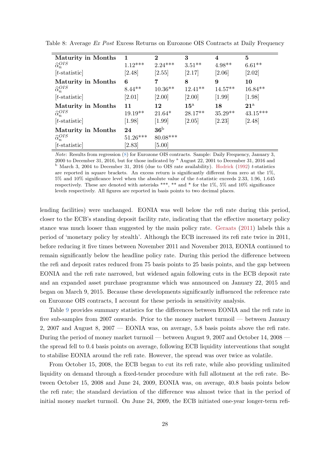| <b>Maturity in Months</b>  | 1          | $\bf{2}$   | 3            | 4         | 5            |
|----------------------------|------------|------------|--------------|-----------|--------------|
| $\widehat{\alpha}_n^{OIS}$ | $1.12***$  | $2.24***$  | $3.51**$     | $4.98**$  | $6.61**$     |
| $[t\text{-statistic}]$     | [2.48]     | [2.55]     | [2.17]       | [2.06]    | [2.02]       |
| <b>Maturity in Months</b>  | 6          | 7          | 8            | 9         | 10           |
| $\widehat{\alpha}_n^{OIS}$ | $8.44**$   | $10.36**$  | $12.41**$    | $14.57**$ | $16.84**$    |
| $[t\text{-statistic}]$     | [2.01]     | [2.00]     | [2.00]       | [1.99]    | [1.98]       |
| <b>Maturity in Months</b>  | 11         | 12         | $15^{\rm a}$ | 18        | $21^{\rm a}$ |
| $\widehat{\alpha}_n^{OIS}$ | $19.19**$  | $21.64*$   | $28.17**$    | $35.29**$ | $43.15***$   |
| $[t\text{-statistic}]$     | $[1.98]$   | $[1.99]$   | [2.05]       | [2.23]    | [2.48]       |
| <b>Maturity in Months</b>  | 24         | $\rm 36^b$ |              |           |              |
| $\widehat{\alpha}_n^{OIS}$ | $51.26***$ | $80.08***$ |              |           |              |
| $ t\text{-statistic} $     | [2.83]     | [5.00]     |              |           |              |

<span id="page-28-0"></span>Table 8: Average Ex Post Excess Returns on Eurozone OIS Contracts at Daily Frequency

Note: Results from regression [\(8\)](#page-11-1) for Eurozone OIS contracts. Sample: Daily Frequency, January 3, 2000 to December 31, 2016, but for those indicated by <sup>a</sup> August 22, 2001 to December 31, 2016 and <sup>b</sup> March 3, 2004 to December 31, 2016 (due to OIS rate availability). [Hodrick](#page-37-9) [\(1992\)](#page-37-9) t-statistics are reported in square brackets. An excess return is significantly different from zero at the 1%, 5% and 10% significance level when the absolute value of the t-statistic exceeds 2.33, 1.96, 1.645 respectively. These are denoted with asterisks \*\*\*, \*\* and \* for the  $1\%$ ,  $5\%$  and  $10\%$  significance levels respectively. All figures are reported in basis points to two decimal places.

lending facilities) were unchanged. EONIA was well below the refi rate during this period, closer to the ECB's standing deposit facility rate, indicating that the effective monetary policy stance was much looser than suggested by the main policy rate. [Geraats](#page-37-12) [\(2011\)](#page-37-12) labels this a period of 'monetary policy by stealth'. Although the ECB increased its refi rate twice in 2011, before reducing it five times between November 2011 and November 2013, EONIA continued to remain significantly below the headline policy rate. During this period the difference between the refi and deposit rates reduced from 75 basis points to 25 basis points, and the gap between EONIA and the refi rate narrowed, but widened again following cuts in the ECB deposit rate and an expanded asset purchase programme which was announced on January 22, 2015 and began on March 9, 2015. Because these developments significantly influenced the reference rate on Eurozone OIS contracts, I account for these periods in sensitivity analysis.

Table [9](#page-30-0) provides summary statistics for the differences between EONIA and the refi rate in five sub-samples from 2007 onwards. Prior to the money market turmoil — between January 2, 2007 and August 8, 2007 — EONIA was, on average, 5.8 basis points above the refi rate. During the period of money market turmoil — between August 9, 2007 and October 14, 2008 the spread fell to 0.4 basis points on average, following ECB liquidity interventions that sought to stabilise EONIA around the refi rate. However, the spread was over twice as volatile.

From October 15, 2008, the ECB began to cut its refi rate, while also providing unlimited liquidity on demand through a fixed-tender procedure with full allotment at the refi rate. Between October 15, 2008 and June 24, 2009, EONIA was, on average, 40.8 basis points below the refi rate; the standard deviation of the difference was almost twice that in the period of initial money market turmoil. On June 24, 2009, the ECB initiated one-year longer-term refi-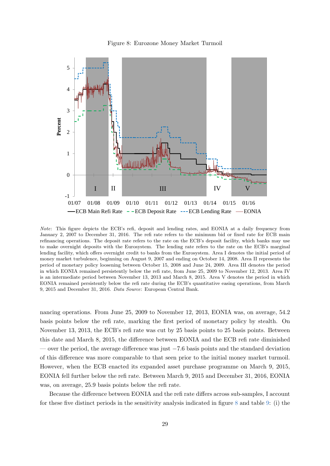Figure 8: Eurozone Money Market Turmoil

<span id="page-29-0"></span>

Note: This figure depicts the ECB's refi, deposit and lending rates, and EONIA at a daily frequency from January 2, 2007 to December 31, 2016. The refi rate refers to the minimum bid or fixed rate for ECB main refinancing operations. The deposit rate refers to the rate on the ECB's deposit facility, which banks may use to make overnight deposits with the Eurosystem. The lending rate refers to the rate on the ECB's marginal lending facility, which offers overnight credit to banks from the Eurosystem. Area I denotes the initial period of money market turbulence, beginning on August 9, 2007 and ending on October 14, 2008. Area II represents the period of monetary policy loosening between October 15, 2008 and June 24, 2009. Area III denotes the period in which EONIA remained persistently below the refi rate, from June 25, 2009 to November 12, 2013. Area IV is an intermediate period between November 13, 2013 and March 8, 2015. Area V denotes the period in which EONIA remained persistently below the refi rate during the ECB's quantitative easing operations, from March 9, 2015 and December 31, 2016. Data Source: European Central Bank.

nancing operations. From June 25, 2009 to November 12, 2013, EONIA was, on average, 54.2 basis points below the refi rate, marking the first period of monetary policy by stealth. On November 13, 2013, the ECB's refi rate was cut by 25 basis points to 25 basis points. Between this date and March 8, 2015, the difference between EONIA and the ECB refi rate diminished — over the period, the average difference was just  $-7.6$  basis points and the standard deviation of this difference was more comparable to that seen prior to the initial money market turmoil. However, when the ECB enacted its expanded asset purchase programme on March 9, 2015, EONIA fell further below the refi rate. Between March 9, 2015 and December 31, 2016, EONIA was, on average, 25.9 basis points below the refi rate.

Because the difference between EONIA and the refi rate differs across sub-samples, I account for these five distinct periods in the sensitivity analysis indicated in figure [8](#page-29-0) and table [9:](#page-30-0) (i) the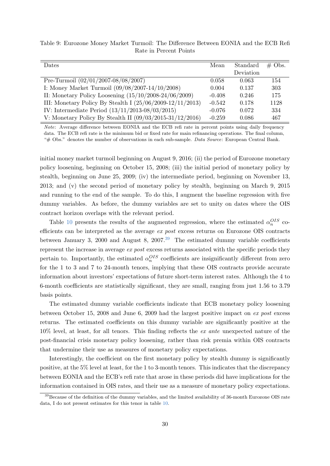| Dates                                                       | Mean     | Standard  | $\#$ Obs. |
|-------------------------------------------------------------|----------|-----------|-----------|
|                                                             |          | Deviation |           |
| Pre-Turmoil $(02/01/2007-08/08/2007)$                       | 0.058    | 0.063     | 154       |
| I: Money Market Turmoil $(09/08/2007-14/10/2008)$           | 0.004    | 0.137     | 303       |
| II: Monetary Policy Loosening $(15/10/2008-24/06/2009)$     | $-0.408$ | 0.246     | 175       |
| III: Monetary Policy By Stealth I $(25/06/2009-12/11/2013)$ | $-0.542$ | 0.178     | 1128      |
| IV: Intermediate Period $(13/11/2013-08/03/2015)$           | $-0.076$ | 0.072     | 334       |
| V: Monetary Policy By Stealth II $(09/03/2015-31/12/2016)$  | $-0.259$ | 0.086     | 467       |

<span id="page-30-0"></span>Table 9: Eurozone Money Market Turmoil: The Difference Between EONIA and the ECB Refi Rate in Percent Points

Note: Average difference between EONIA and the ECB refi rate in percent points using daily frequency data. The ECB refi rate is the minimum bid or fixed rate for main refinancing operations. The final column, " $#$  Obs." denotes the number of observations in each sub-sample. Data Source: European Central Bank.

initial money market turmoil beginning on August 9, 2016; (ii) the period of Eurozone monetary policy loosening, beginning on October 15, 2008; (iii) the initial period of monetary policy by stealth, beginning on June 25, 2009; (iv) the intermediate period, beginning on November 13, 2013; and (v) the second period of monetary policy by stealth, beginning on March 9, 2015 and running to the end of the sample. To do this, I augment the baseline regression with five dummy variables. As before, the dummy variables are set to unity on dates where the OIS contract horizon overlaps with the relevant period.

Table [10](#page-31-0) presents the results of the augmented regression, where the estimated  $\alpha_n^{OIS}$  coefficients can be interpreted as the average ex post excess returns on Eurozone OIS contracts between January 3, 2000 and August 8, 2007.<sup>[39](#page-30-1)</sup> The estimated dummy variable coefficients represent the increase in average ex post excess returns associated with the specific periods they pertain to. Importantly, the estimated  $\alpha_n^{OIS}$  coefficients are insignificantly different from zero for the 1 to 3 and 7 to 24-month tenors, implying that these OIS contracts provide accurate information about investors' expectations of future short-term interest rates. Although the 4 to 6-month coefficients are statistically significant, they are small, ranging from just 1.56 to 3.79 basis points.

The estimated dummy variable coefficients indicate that ECB monetary policy loosening between October 15, 2008 and June 6, 2009 had the largest positive impact on ex post excess returns. The estimated coefficients on this dummy variable are significantly positive at the 10% level, at least, for all tenors. This finding reflects the ex ante unexpected nature of the post-financial crisis monetary policy loosening, rather than risk premia within OIS contracts that undermine their use as measures of monetary policy expectations.

Interestingly, the coefficient on the first monetary policy by stealth dummy is significantly positive, at the 5% level at least, for the 1 to 3-month tenors. This indicates that the discrepancy between EONIA and the ECB's refi rate that arose in these periods did have implications for the information contained in OIS rates, and their use as a measure of monetary policy expectations.

<span id="page-30-1"></span><sup>&</sup>lt;sup>39</sup>Because of the definition of the dummy variables, and the limited availability of 36-month Eurozone OIS rate data, I do not present estimates for this tenor in table [10.](#page-31-0)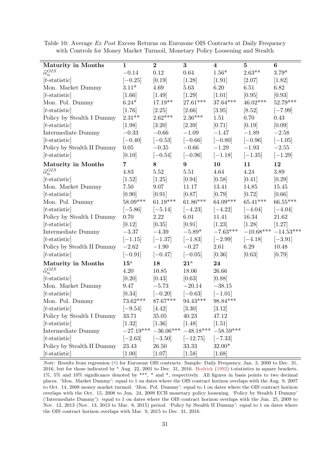| Maturity in Months         | $\mathbf{1}$   | $\overline{2}$                 | $\bf{3}$                                        | $\bf{4}$   | $\bf{5}$    | $\boldsymbol{6}$ |
|----------------------------|----------------|--------------------------------|-------------------------------------------------|------------|-------------|------------------|
| $\widehat{\alpha}_n^{OIS}$ | $-0.14$        | $0.12\,$                       | $0.64\,$                                        | $1.56*$    | $2.63**$    | $3.79*$          |
| $[t\text{-statistic}]$     | $[-0.25]$      | [0.19]                         | $[1.28]$                                        | $[1.91]$   | [2.07]      | [1.82]           |
| Mon. Market Dummy          | $3.11*$        | 4.69                           | 5.63                                            | 6.20       | 6.51        | 6.82             |
| $[t\text{-statistic}]$     | $[1.66]$       | [1.49]                         | [1.29]                                          | $[1.01]$   | [0.95]      | [0.93]           |
| Mon. Pol. Dummy            | $6.24*$        | $17.19**$                      | $27.61***$                                      | $37.64***$ | $46.02***$  | $52.79***$       |
| $[t\text{-statistic}]$     | [1.76]         | [2.25]                         | $[2.66]$                                        | [3.95]     | [8.52]      | $[-7.99]$        |
| Policy by Stealth I Dummy  | $2.31**$       | $2.62***$                      | $2.36***$                                       | 1.51       | 0.70        | 0.43             |
| $[t\text{-statistic}]$     | $[1.98]$       | [3.20]                         | [2.39]                                          | [0.71]     | [0.19]      | [0.09]           |
| Intermediate Dummy         | $-0.33$        | $-0.66$                        | $-1.09$                                         | $-1.47$    | $-1.89$     | $-2.58$          |
| $[t\text{-statistic}]$     | $[-0.40]$      | $[-0.53]$                      | $[-0.66]$                                       | $[-0.80]$  | $[-0.96]$   | $[-1.05]$        |
| Policy by Stealth II Dummy | $0.05\,$       | $-0.35$                        | $-0.66$                                         | $-1.29$    | $-1.93$     | $-2.55$          |
| $[t\text{-statistic}]$     | [0.10]         | $[-0.54]$                      | $[-0.96]$                                       | $[-1.18]$  | $[-1.35]$   | $[-1.29]$        |
| <b>Maturity in Months</b>  | $\overline{7}$ | 8                              | 9                                               | 10         | 11          | 12               |
| $\widehat{\alpha}_n^{OIS}$ | 4.83           | 5.52                           | 5.51                                            | 4.64       | 4.24        | 3.89             |
| $[t\text{-statistic}]$     | [1.52]         | [1.25]                         | [0.94]                                          | [0.58]     | [0.41]      | [0.29]           |
| Mon. Market Dummy          | 7.50           | 9.07                           | 11.17                                           | 13.41      | 14.85       | 15.45            |
| $[t\text{-statistic}]$     | [0.90]         | [0.91]                         | [0.87]                                          | [0.79]     | [0.72]      | [0.66]           |
| Mon. Pol. Dummy            | 58.09***       | $61.19***$                     | $61.86***$                                      | $64.09***$ | $65.41***$  | $66.55***$       |
| $[t\text{-statistic}]$     | $[-5.86]$      | $[-5.14]$                      | $[-4.23]$                                       | $[-4.22]$  | $[-4.04]$   | $[-4.04]$        |
| Policy by Stealth I Dummy  | 0.70           | 2.22                           | 6.01                                            | 11.41      | 16.34       | 21.62            |
| $[t\text{-statistic}]$     | [0.12]         | [0.35]                         | [0.91]                                          | $[1.23]$   | $[1.28]$    | [1.27]           |
| Intermediate Dummy         | $-3.37$        | $-4.39$                        | $-5.89*$                                        | $-7.63***$ | $-10.68***$ | $-14.53***$      |
| $[t\text{-statistic}]$     | $[-1.15]$      | $[-1.37]$                      | $[-1.83]$                                       | $[-2.99]$  | $[-4.18]$   | $[-3.91]$        |
| Policy by Stealth II Dummy | $-2.62$        | $-1.90$                        | $-0.27$                                         | 2.61       | 6.29        | 10.48            |
| $[t\text{-statistic}]$     | $[-0.91]$      | $[-0.47]$                      | $[-0.05]$                                       | [0.36]     | [0.63]      | [0.79]           |
| <b>Maturity in Months</b>  | $15^{\rm a}$   | 18                             | $21^{\rm a}$                                    | 24         |             |                  |
| $\widehat{\alpha}_n^{OIS}$ | 4.20           | 10.85                          | 18.06                                           | 26.66      |             |                  |
| $[t\text{-statistic}]$     | [0.20]         | [0.43]                         | [0.63]                                          | [0.88]     |             |                  |
| Mon. Market Dummy          | 9.47           | $-5.73$                        | $-20.14\,$                                      | $-38.15$   |             |                  |
| $[t\text{-statistic}]$     | [0.34]         | $[-0.20]$                      | $[-0.63]$                                       | $[-1.01]$  |             |                  |
| Mon. Pol. Dummy            | 73.62***       | $87.67***$                     | $94.43***$                                      | 98.84***   |             |                  |
| $[t\text{-statistic}]$     | $[-9.54]$      | [4.42]                         | [3.30]                                          | $[3.12]$   |             |                  |
| Policy by Stealth I Dummy  | 33.71          | 35.05                          | 40.23                                           | 47.12      |             |                  |
| $[t\text{-statistic}]$     | [1.32]         | $[1.36]$                       | [1.48]                                          | [1.51]     |             |                  |
| Intermediate Dummy         |                |                                | $-27.19***$ $-36.06***$ $-48.18***$ $-58.59***$ |            |             |                  |
| $[t\text{-statistic}]$     |                | $[-2.63]$ $[-3.50]$ $[-12.75]$ |                                                 | $[-7.33]$  |             |                  |
| Policy by Stealth II Dummy | 23.43          | 26.50                          | 33.33                                           | $32.00*$   |             |                  |
| $[t\text{-statistic}]$     | $[1.00]$       | [1.07]                         | $[1.58]$                                        | [1.68]     |             |                  |
|                            |                |                                |                                                 |            |             |                  |

<span id="page-31-0"></span>Table 10: Average Ex Post Excess Returns on Eurozone OIS Contracts at Daily Frequency with Controls for Money Market Turmoil, Monetary Policy Loosening and Stealth

Note: Results from regression [\(8\)](#page-11-1) for Eurozone OIS contracts. Sample: Daily Frequency, Jan. 3, 2000 to Dec. 31, 2016, but for those indicated by  $^a$  Aug. 22, 2001 to Dec. 31, 2016. [Hodrick](#page-37-9) [\(1992\)](#page-37-9) t-statistics in square brackets. 1%, 5% and 10% significance denoted by \*\*\*, \* and \*, respectively. All figures in basis points to two decimal places. 'Mon. Market Dummy': equal to 1 on dates where the OIS contract horizon overlaps with the Aug. 9, 2007 to Oct. 14, 2008 money market turmoil. 'Mon. Pol. Dummy': equal to 1 on dates where the OIS contract horizon overlaps with the Oct. 15, 2008 to Jun. 24, 2009 ECB monetary policy loosening. 'Policy by Stealth I Dummy' ('Intermediate Dummy'): equal to 1 on dates where the OIS contract horizon overlaps with the Jun. 25, 2009 to Nov. 12, 2013 (Nov. 13, 2013 to Mar. 8, 2015) period. 'Policy by Stealth II Dummy': equal to 1 on dates where the OIS contract horizon overlaps with Mar. 9, 2015 to Dec. 31, 2016.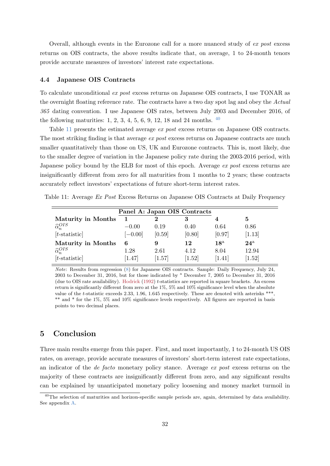Overall, although events in the Eurozone call for a more nuanced study of ex post excess returns on OIS contracts, the above results indicate that, on average, 1 to 24-month tenors provide accurate measures of investors' interest rate expectations.

#### 4.4 Japanese OIS Contracts

To calculate unconditional ex post excess returns on Japanese OIS contracts, I use TONAR as the overnight floating reference rate. The contracts have a two day spot lag and obey the Actual 365 dating convention. I use Japanese OIS rates, between July 2003 and December 2016, of the following maturities:  $1, 2, 3, 4, 5, 6, 9, 12, 18$  and  $24$  months.  $40$ 

Table [11](#page-32-2) presents the estimated average ex post excess returns on Japanese OIS contracts. The most striking finding is that average ex post excess returns on Japanese contracts are much smaller quantitatively than those on US, UK and Eurozone contracts. This is, most likely, due to the smaller degree of variation in the Japanese policy rate during the 2003-2016 period, with Japanese policy bound by the ELB for most of this epoch. Average ex post excess returns are insignificantly different from zero for all maturities from 1 months to 2 years; these contracts accurately reflect investors' expectations of future short-term interest rates.

<span id="page-32-2"></span>Table 11: Average Ex Post Excess Returns on Japanese OIS Contracts at Daily Frequency

|                            | Panel A: Japan OIS Contracts |        |        |              |              |  |
|----------------------------|------------------------------|--------|--------|--------------|--------------|--|
| <b>Maturity in Months</b>  |                              | 2      | 3      | 4            | 5            |  |
| $\widehat{\alpha}_n^{OIS}$ | $-0.00$                      | 0.19   | 0.40   | 0.64         | 0.86         |  |
| $[t\text{-statistic}]$     | $[-0.00]$                    | [0.59] | [0.80] | [0.97]       | [1.13]       |  |
| <b>Maturity in Months</b>  | 6                            | 9      | 12     | $18^{\rm a}$ | $24^{\rm a}$ |  |
| $\widehat{\alpha}_n^{OIS}$ | 1.28                         | 2.61   | 4.12   | 8.04         | 12.94        |  |
| $[t\text{-statistic}]$     | [1.47]                       | [1.57] | [1.52] | 1.41         | [1.52]       |  |

Note: Results from regression [\(8\)](#page-11-1) for Japanese OIS contracts. Sample: Daily Frequency, July 24, 2003 to December 31, 2016, but for those indicated by <sup>a</sup> December 7, 2005 to December 31, 2016 (due to OIS rate availability). [Hodrick](#page-37-9) [\(1992\)](#page-37-9) t-statistics are reported in square brackets. An excess return is significantly different from zero at the 1%, 5% and 10% significance level when the absolute value of the t-statistic exceeds 2.33, 1.96, 1.645 respectively. These are denoted with asterisks \*\*\*, \*\* and \* for the 1%, 5% and 10% significance levels respectively. All figures are reported in basis points to two decimal places.

## <span id="page-32-0"></span>5 Conclusion

Three main results emerge from this paper. First, and most importantly, 1 to 24-month US OIS rates, on average, provide accurate measures of investors' short-term interest rate expectations, an indicator of the de facto monetary policy stance. Average ex post excess returns on the majority of these contracts are insignificantly different from zero, and any significant results can be explained by unanticipated monetary policy loosening and money market turmoil in

<span id="page-32-1"></span><sup>&</sup>lt;sup>40</sup>The selection of maturities and horizon-specific sample periods are, again, determined by data availability. See appendix [A.](#page-34-0)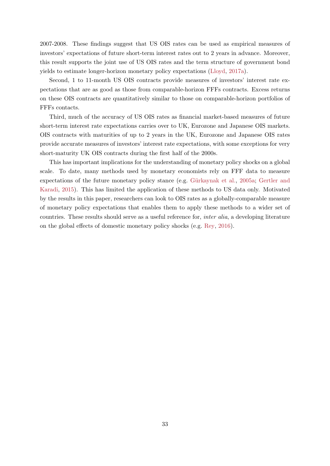2007-2008. These findings suggest that US OIS rates can be used as empirical measures of investors' expectations of future short-term interest rates out to 2 years in advance. Moreover, this result supports the joint use of US OIS rates and the term structure of government bond yields to estimate longer-horizon monetary policy expectations [\(Lloyd,](#page-38-2) [2017a\)](#page-38-2).

Second, 1 to 11-month US OIS contracts provide measures of investors' interest rate expectations that are as good as those from comparable-horizon FFFs contracts. Excess returns on these OIS contracts are quantitatively similar to those on comparable-horizon portfolios of FFFs contacts.

Third, much of the accuracy of US OIS rates as financial market-based measures of future short-term interest rate expectations carries over to UK, Eurozone and Japanese OIS markets. OIS contracts with maturities of up to 2 years in the UK, Eurozone and Japanese OIS rates provide accurate measures of investors' interest rate expectations, with some exceptions for very short-maturity UK OIS contracts during the first half of the 2000s.

This has important implications for the understanding of monetary policy shocks on a global scale. To date, many methods used by monetary economists rely on FFF data to measure expectations of the future monetary policy stance (e.g. Gürkaynak et al., [2005a;](#page-37-0) [Gertler and](#page-37-2) [Karadi,](#page-37-2) [2015\)](#page-37-2). This has limited the application of these methods to US data only. Motivated by the results in this paper, researchers can look to OIS rates as a globally-comparable measure of monetary policy expectations that enables them to apply these methods to a wider set of countries. These results should serve as a useful reference for, inter alia, a developing literature on the global effects of domestic monetary policy shocks (e.g. [Rey,](#page-38-7) [2016\)](#page-38-7).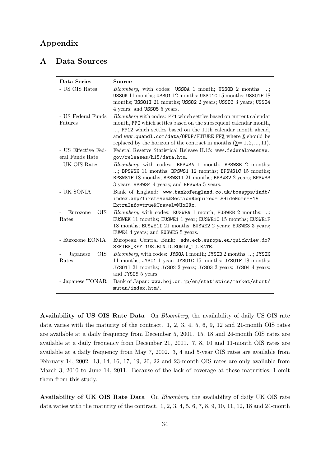## Appendix

## <span id="page-34-0"></span>A Data Sources

| Data Series                            | Source                                                                                                                                                                                                                                                                                                                                                   |  |  |  |  |
|----------------------------------------|----------------------------------------------------------------------------------------------------------------------------------------------------------------------------------------------------------------------------------------------------------------------------------------------------------------------------------------------------------|--|--|--|--|
| - US OIS Rates                         | <i>Bloomberg</i> , with codes: USSOA 1 month; USSOB 2 months; ;<br>USSOK 11 months; USSO1 12 months; USSO1C 15 months; USSO1F 18<br>months; USS011 21 months; USS02 2 years; USS03 3 years; USS04<br>4 years; and USS05 5 years.                                                                                                                         |  |  |  |  |
| - US Federal Funds<br><b>Futures</b>   | Bloomberg with codes: FF1 which settles based on current calendar<br>month, FF2 which settles based on the subsequent calendar month,<br>, FF12 which settles based on the 11th calendar month ahead,<br>and www.quandl.com/data/OFDP/FUTURE_FFX where X should be<br>replaced by the horizon of the contract in months $(\underline{x} = 1, 2, , 11)$ . |  |  |  |  |
| - US Effective Fed-<br>eral Funds Rate | Federal Reserve Statistical Release H.15: www.federalreserve.<br>gov/releases/h15/data.htm.                                                                                                                                                                                                                                                              |  |  |  |  |
| - UK OIS Rates                         | Bloomberg, with codes: BPSWSA 1 month; BPSWSB 2 months;<br>; BPSWSK 11 months; BPSWS1 12 months; BPSWS1C 15 months;<br>BPSWS1F 18 months; BPSWS1I 21 months; BPSWS2 2 years; BPSWS3<br>3 years; BPSWS4 4 years; and BPSWS5 5 years.                                                                                                                      |  |  |  |  |
| - UK SONIA                             | Bank of England: www.bankofengland.co.uk/boeapps/iadb/<br>index.asp?first=yes&SectionRequired=I&HideNums=-1&<br>ExtraInfo=true&Travel=NIxIRx.                                                                                                                                                                                                            |  |  |  |  |
| Eurozone<br><b>OIS</b><br>Rates        | <i>Bloomberg</i> , with codes: EUSWEA 1 month; EUSWEB 2 months; ;<br>EUSWEK 11 months; EUSWE1 1 year; EUSWE1C 15 months; EUSWE1F<br>18 months; EUSWE1I 21 months; EUSWE2 2 years; EUSWE3 3 years;<br>EUWE4 4 years; and EUSWE5 5 years.                                                                                                                  |  |  |  |  |
| - Eurozone $\operatorname{EONIA}$      | European Central Bank: sdw.ecb.europa.eu/quickview.do?<br>SERIES_KEY=198.EON.D.EONIA_TO.RATE.                                                                                                                                                                                                                                                            |  |  |  |  |
| <b>OIS</b><br>Japanese<br>Rates        | <i>Bloomberg</i> , with codes: JYSOA 1 month; JYSOB 2 months; ; JYSOK<br>11 months; JYS01 1 year; JYS01C 15 months; JYS01F 18 months;<br>JYS011 21 months; JYS02 2 years; JYS03 3 years; JYS04 4 years;<br>and JYS05 5 years.                                                                                                                            |  |  |  |  |
| - Japanese TONAR                       | Bank of Japan: www.boj.or.jp/en/statistics/market/short/<br>mutan/index.htm/.                                                                                                                                                                                                                                                                            |  |  |  |  |

Availability of US OIS Rate Data On Bloomberg, the availability of daily US OIS rate data varies with the maturity of the contract. 1, 2, 3, 4, 5, 6, 9, 12 and 21-month OIS rates are available at a daily frequency from December 5, 2001. 15, 18 and 24-month OIS rates are available at a daily frequency from December 21, 2001. 7, 8, 10 and 11-month OIS rates are available at a daily frequency from May 7, 2002. 3, 4 and 5-year OIS rates are available from February 14, 2002. 13, 14, 16, 17, 19, 20, 22 and 23-month OIS rates are only available from March 3, 2010 to June 14, 2011. Because of the lack of coverage at these maturities, I omit them from this study.

Availability of UK OIS Rate Data On Bloomberg, the availability of daily UK OIS rate data varies with the maturity of the contract.  $1, 2, 3, 4, 5, 6, 7, 8, 9, 10, 11, 12, 18$  and  $24$ -month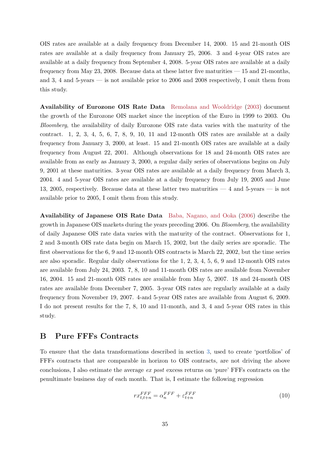OIS rates are available at a daily frequency from December 14, 2000. 15 and 21-month OIS rates are available at a daily frequency from January 25, 2006. 3 and 4-year OIS rates are available at a daily frequency from September 4, 2008. 5-year OIS rates are available at a daily frequency from May 23, 2008. Because data at these latter five maturities  $-15$  and 21-months, and 3, 4 and 5-years — is not available prior to 2006 and 2008 respectively, I omit them from this study.

Availability of Eurozone OIS Rate Data [Remolana and Wooldridge](#page-38-14) [\(2003\)](#page-38-14) document the growth of the Eurozone OIS market since the inception of the Euro in 1999 to 2003. On Bloomberg, the availability of daily Eurozone OIS rate data varies with the maturity of the contract. 1, 2, 3, 4, 5, 6, 7, 8, 9, 10, 11 and 12-month OIS rates are available at a daily frequency from January 3, 2000, at least. 15 and 21-month OIS rates are available at a daily frequency from August 22, 2001. Although observations for 18 and 24-month OIS rates are available from as early as January 3, 2000, a regular daily series of observations begins on July 9, 2001 at these maturities. 3-year OIS rates are available at a daily frequency from March 3, 2004. 4 and 5-year OIS rates are available at a daily frequency from July 19, 2005 and June 13, 2005, respectively. Because data at these latter two maturities — 4 and 5-years — is not available prior to 2005, I omit them from this study.

Availability of Japanese OIS Rate Data [Baba, Nagano, and Ooka](#page-37-13) [\(2006\)](#page-37-13) describe the growth in Japanese OIS markets during the years preceding 2006. On Bloomberg, the availability of daily Japanese OIS rate data varies with the maturity of the contract. Observations for 1, 2 and 3-month OIS rate data begin on March 15, 2002, but the daily series are sporadic. The first observations for the 6, 9 and 12-month OIS contracts is March 22, 2002, but the time series are also sporadic. Regular daily observations for the 1, 2, 3, 4, 5, 6, 9 and 12-month OIS rates are available from July 24, 2003. 7, 8, 10 and 11-month OIS rates are available from November 16, 2004. 15 and 21-month OIS rates are available from May 5, 2007. 18 and 24-month OIS rates are available from December 7, 2005. 3-year OIS rates are regularly available at a daily frequency from November 19, 2007. 4-and 5-year OIS rates are available from August 6, 2009. I do not present results for the 7, 8, 10 and 11-month, and 3, 4 and 5-year OIS rates in this study.

## <span id="page-35-0"></span>B Pure FFFs Contracts

To ensure that the data transformations described in section [3,](#page-7-0) used to create 'portfolios' of FFFs contracts that are comparable in horizon to OIS contracts, are not driving the above conclusions, I also estimate the average ex post excess returns on 'pure' FFFs contracts on the penultimate business day of each month. That is, I estimate the following regression

<span id="page-35-1"></span>
$$
rx_{t,t+n}^{FFF} = \alpha_n^{FFF} + \varepsilon_{t+n}^{FFF} \tag{10}
$$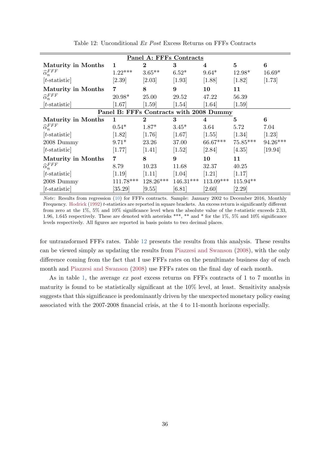<span id="page-36-0"></span>

| Panel A: FFFs Contracts                 |             |                |             |             |            |          |  |  |
|-----------------------------------------|-------------|----------------|-------------|-------------|------------|----------|--|--|
| <b>Maturity in Months</b>               | 1           | $\overline{2}$ | 3           | 4           | $\bf{5}$   | 6        |  |  |
| $\widehat{\alpha}_n^{FFF}$              | $1.22***$   | $3.65**$       | $6.52*$     | $9.64*$     | 12.98*     | $16.69*$ |  |  |
| $[t\text{-statistic}]$                  | [2.39]      | [2.03]         | $[1.93]$    | [1.88]      | [1.82]     | $[1.73]$ |  |  |
| <b>Maturity in Months</b>               | 7           | 8              | 9           | 10          | 11         |          |  |  |
| $\widehat{\alpha}_n^{FFF}$              | $20.98*$    | 25.00          | 29.52       | 47.22       | 56.39      |          |  |  |
| $[t\text{-statistic}]$                  | [1.67]      | $[1.59]$       | [1.54]      | [1.64]      | $[1.59]$   |          |  |  |
| Panel B: FFFs Contracts with 2008 Dummy |             |                |             |             |            |          |  |  |
| <b>Maturity in Months</b>               | 1           | $\bf{2}$       | 3           | 4           | 5          | 6        |  |  |
| $\widehat{\alpha}_n^{FFF}$              | $0.54*$     | $1.87*$        | $3.45*$     | 3.64        | 5.72       | 7.04     |  |  |
| $[t\text{-statistic}]$                  | $[1.82]$    | $[1.76]$       | $[1.67]$    | $[1.55]$    | $[1.34]$   | [1.23]   |  |  |
| 2008 Dummy                              | $9.71*$     | 23.26          | 37.00       | 66.67***    | $75.85***$ | 94.26*** |  |  |
| $[t\text{-statistic}]$                  | [1.77]      | $[1.41]$       | [1.52]      | [2.84]      | [4.35]     | [19.94]  |  |  |
| <b>Maturity in Months</b>               | 7           | 8              | 9           | 10          | 11         |          |  |  |
| $\widehat{\alpha}_n^{FFF}$              | 8.79        | 10.23          | 11.68       | 32.37       | 40.25      |          |  |  |
| $[t\text{-statistic}]$                  | [1.19]      | [1.11]         | [1.04]      | [1.21]      | [1.17]     |          |  |  |
| 2008 Dummy                              | $111.78***$ | 128.26***      | $146.31***$ | $113.09***$ | $115.94**$ |          |  |  |
| $[t\text{-statistic}]$                  | [35.29]     | [9.55]         | [6.81]      | $[2.60]$    | $[2.29]$   |          |  |  |

Table 12: Unconditional Ex Post Excess Returns on FFFs Contracts

Note: Results from regression [\(10\)](#page-35-1) for FFFs contracts. Sample: January 2002 to December 2016, Monthly Frequency. [Hodrick](#page-37-9) [\(1992\)](#page-37-9) t-statistics are reported in square brackets. An excess return is significantly different from zero at the 1%, 5% and 10% significance level when the absolute value of the t-statistic exceeds 2.33, 1.96, 1.645 respectively. These are denoted with asterisks \*\*\*, \*\* and \* for the 1%, 5% and 10% significance levels respectively. All figures are reported in basis points to two decimal places.

for untransformed FFFs rates. Table [12](#page-36-0) presents the results from this analysis. These results can be viewed simply as updating the results from [Piazzesi and Swanson](#page-38-8) [\(2008\)](#page-38-8), with the only difference coming from the fact that I use FFFs rates on the penultimate business day of each month and [Piazzesi and Swanson](#page-38-8) [\(2008\)](#page-38-8) use FFFs rates on the final day of each month.

As in table [1,](#page-13-0) the average ex post excess returns on FFFs contracts of 1 to 7 months in maturity is found to be statistically significant at the 10% level, at least. Sensitivity analysis suggests that this significance is predominantly driven by the unexpected monetary policy easing associated with the 2007-2008 financial crisis, at the 4 to 11-month horizons especially.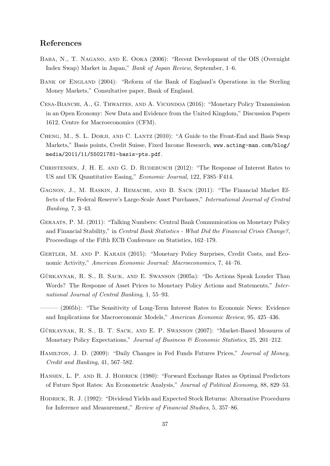## References

- <span id="page-37-13"></span>Baba, N., T. Nagano, and E. Ooka (2006): "Recent Development of the OIS (Overnight Index Swap) Market in Japan," Bank of Japan Review, September, 1–6.
- <span id="page-37-11"></span>BANK OF ENGLAND (2004): "Reform of the Bank of England's Operations in the Sterling Money Markets," Consultative paper, Bank of England.
- <span id="page-37-3"></span>Cesa-Bianchi, A., G. Thwaites, and A. Vicondoa (2016): "Monetary Policy Transmission in an Open Economy: New Data and Evidence from the United Kingdom," Discussion Papers 1612, Centre for Macroeconomics (CFM).
- <span id="page-37-6"></span>CHENG, M., S. L. DORJI, AND C. LANTZ (2010): "A Guide to the Front-End and Basis Swap Markets," Basis points, Credit Suisse, Fixed Income Research, [www.acting-man.com/blog/](www.acting-man.com/blog/media/2011/11/55021781-basis-pts.pdf) [media/2011/11/55021781-basis-pts.pdf](www.acting-man.com/blog/media/2011/11/55021781-basis-pts.pdf).
- <span id="page-37-7"></span>CHRISTENSEN, J. H. E. AND G. D. RUDEBUSCH (2012): "The Response of Interest Rates to US and UK Quantitative Easing," Economic Journal, 122, F385–F414.
- <span id="page-37-5"></span>Gagnon, J., M. Raskin, J. Remache, and B. Sack (2011): "The Financial Market Effects of the Federal Reserve's Large-Scale Asset Purchases," International Journal of Central Banking, 7, 3–43.
- <span id="page-37-12"></span>Geraats, P. M. (2011): "Talking Numbers: Central Bank Communication on Monetary Policy and Financial Stability," in Central Bank Statistics - What Did the Financial Crisis Change?, Proceedings of the Fifth ECB Conference on Statistics, 162–179.
- <span id="page-37-2"></span>Gertler, M. and P. Karadi (2015): "Monetary Policy Surprises, Credit Costs, and Economic Activity," American Economic Journal: Macroeconomics, 7, 44–76.
- <span id="page-37-0"></span>GÜRKAYNAK, R. S., B. SACK, AND E. SWANSON (2005a): "Do Actions Speak Louder Than Words? The Response of Asset Prices to Monetary Policy Actions and Statements," International Journal of Central Banking, 1, 55–93.
- <span id="page-37-1"></span>——— (2005b): "The Sensitivity of Long-Term Interest Rates to Economic News: Evidence and Implications for Macroeconomic Models," American Economic Review, 95, 425–436.
- <span id="page-37-4"></span>GÜRKAYNAK, R. S., B. T. SACK, AND E. P. SWANSON (2007): "Market-Based Measures of Monetary Policy Expectations," Journal of Business & Economic Statistics, 25, 201–212.
- <span id="page-37-8"></span>HAMILTON, J. D. (2009): "Daily Changes in Fed Funds Futures Prices," Journal of Money, Credit and Banking, 41, 567–582.
- <span id="page-37-10"></span>Hansen, L. P. and R. J. Hodrick (1980): "Forward Exchange Rates as Optimal Predictors of Future Spot Rates: An Econometric Analysis," Journal of Political Economy, 88, 829–53.
- <span id="page-37-9"></span>Hodrick, R. J. (1992): "Dividend Yields and Expected Stock Returns: Alternative Procedures for Inference and Measurement," Review of Financial Studies, 5, 357–86.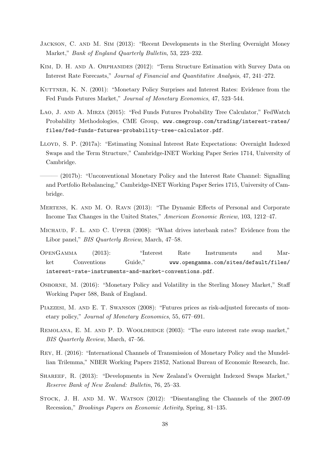- <span id="page-38-12"></span>Jackson, C. and M. Sim (2013): "Recent Developments in the Sterling Overnight Money Market," Bank of England Quarterly Bulletin, 53, 223–232.
- <span id="page-38-3"></span>KIM, D. H. AND A. ORPHANIDES (2012): "Term Structure Estimation with Survey Data on Interest Rate Forecasts," Journal of Financial and Quantitative Analysis, 47, 241–272.
- <span id="page-38-1"></span>KUTTNER, K. N. (2001): "Monetary Policy Surprises and Interest Rates: Evidence from the Fed Funds Futures Market," Journal of Monetary Economics, 47, 523–544.
- <span id="page-38-0"></span>Lao, J. and A. Mirza (2015): "Fed Funds Futures Probability Tree Calculator," FedWatch Probability Methodologies, CME Group, [www.cmegroup.com/trading/interest-rates/](www.cmegroup.com/trading/interest-rates/files/fed-funds-futures-probability-tree-calculator.pdf) [files/fed-funds-futures-probability-tree-calculator.pdf](www.cmegroup.com/trading/interest-rates/files/fed-funds-futures-probability-tree-calculator.pdf).
- <span id="page-38-2"></span>Lloyd, S. P. (2017a): "Estimating Nominal Interest Rate Expectations: Overnight Indexed Swaps and the Term Structure," Cambridge-INET Working Paper Series 1714, University of Cambridge.
- <span id="page-38-4"></span>——— (2017b): "Unconventional Monetary Policy and the Interest Rate Channel: Signalling and Portfolio Rebalancing," Cambridge-INET Working Paper Series 1715, University of Cambridge.
- <span id="page-38-6"></span>Mertens, K. and M. O. Ravn (2013): "The Dynamic Effects of Personal and Corporate Income Tax Changes in the United States," American Economic Review, 103, 1212–47.
- <span id="page-38-10"></span>Michaud, F. L. and C. Upper (2008): "What drives interbank rates? Evidence from the Libor panel," *BIS Quarterly Review*, March, 47–58.
- <span id="page-38-9"></span>OpenGamma (2013): "Interest Rate Instruments and Market Conventions Guide," [www.opengamma.com/sites/default/files/](www.opengamma.com/sites/default/files/interest-rate-instruments-and-market-conventions.pdf) [interest-rate-instruments-and-market-conventions.pdf](www.opengamma.com/sites/default/files/interest-rate-instruments-and-market-conventions.pdf).
- <span id="page-38-13"></span>Osborne, M. (2016): "Monetary Policy and Volatility in the Sterling Money Market," Staff Working Paper 588, Bank of England.
- <span id="page-38-8"></span>PIAZZESI, M. AND E. T. SWANSON (2008): "Futures prices as risk-adjusted forecasts of monetary policy," Journal of Monetary Economics, 55, 677–691.
- <span id="page-38-14"></span>REMOLANA, E. M. AND P. D. WOOLDRIDGE (2003): "The euro interest rate swap market," BIS Quarterly Review, March, 47–56.
- <span id="page-38-7"></span>Rey, H. (2016): "International Channels of Transmission of Monetary Policy and the Mundellian Trilemma," NBER Working Papers 21852, National Bureau of Economic Research, Inc.
- <span id="page-38-11"></span>Shareef, R. (2013): "Developments in New Zealand's Overnight Indexed Swaps Market," Reserve Bank of New Zealand: Bulletin, 76, 25–33.
- <span id="page-38-5"></span>Stock, J. H. and M. W. Watson (2012): "Disentangling the Channels of the 2007-09 Recession," Brookings Papers on Economic Activity, Spring, 81–135.